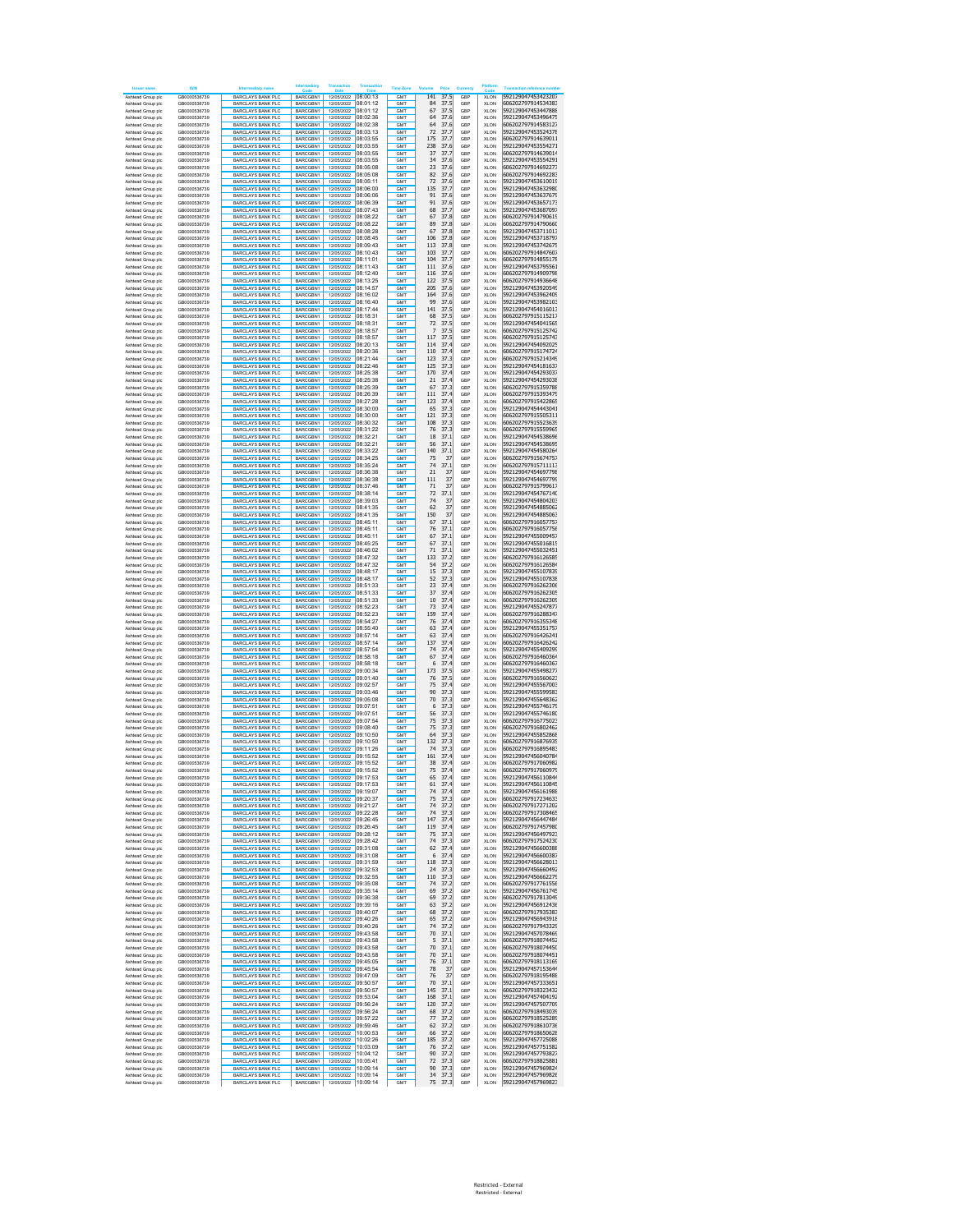|                                        | IRIN                         |                                                      |                            |                                            |                      |                          |                            |            |                            |                                          |
|----------------------------------------|------------------------------|------------------------------------------------------|----------------------------|--------------------------------------------|----------------------|--------------------------|----------------------------|------------|----------------------------|------------------------------------------|
| Ashtead Group plo                      | GB0000536739                 | <b>BARCLAYS BANK PLC</b>                             | BARCGBN1                   | 12/05/2022 08:00:13                        |                      | GM <sub>1</sub>          | 141<br>37.5                | GBF        | <b>XLON</b>                | 592129047453423207                       |
| Ashtead Group plc                      | GB0000536739                 | <b>BARCLAYS BANK PLC</b>                             | BARCGBN1                   | 12/05/2022                                 | 08:01:12             | GMT                      | 37.5<br>84                 | GBP        | <b>XLON</b>                | 606202797914534383                       |
| Ashtead Group plc                      | GB0000536739                 | <b>BARCLAYS BANK PLC</b>                             | BARCGBN1                   | 12/05/2022                                 | 08:01:12             | <b>GMT</b>               | 67<br>37.5                 | GBP        | <b>XLON</b>                | 592129047453447888                       |
| Ashtead Group plc                      | GB0000536739                 | <b>BARCLAYS BANK PLC</b>                             | BARCGBN1                   | 12/05/2022                                 | 08:02:36             | GMT                      | 64<br>37.6                 | GBP        | <b>XLON</b>                | 592129047453496475                       |
| Ashtead Group plc                      | GB0000536739                 | BARCLAYS BANK PLC                                    | BARCGBN1                   | 12/05/2022                                 | 08:02:38             | <b>GMT</b>               | 37.6<br>64                 | GBP        | <b>XLON</b>                | 606202797914583127                       |
| Ashtead Group plc                      | GB0000536739                 | <b>BARCLAYS BANK PLC</b>                             | BARCGBN1                   | 12/05/2022                                 | 08:03:13             | GMT                      | 72<br>37.7                 | GBP        | <b>XLON</b>                | 592129047453524378                       |
| Ashtead Group plc                      | GB0000536739                 | <b>BARCLAYS BANK PLO</b>                             | BARCGBN1                   | 12/05/2022                                 | 08:03:55             | <b>GMT</b>               | 37.7<br>175                | GBP        | <b>XLON</b>                | 606202797914639011                       |
| Ashtead Group plc                      | GB0000536739                 | <b>BARCLAYS BANK PLC</b>                             | BARCGBN1                   | 12/05/2022                                 | 08:03:55             | <b>GMT</b>               | 37.6<br>238                | GBP        | <b>XLON</b>                | 592129047453554271                       |
| Ashtead Group plc                      | GB0000536739                 | <b>BARCLAYS BANK PLC</b>                             | BARCGBN1                   | 12/05/2022 08:03:55                        |                      | <b>GMT</b>               | 37.7<br>37                 | GBP        | <b>XLON</b>                | 606202797914639014                       |
| Ashtead Group plc                      | GB0000536739                 | <b>BARCLAYS BANK PLC</b>                             | BARCGBN1                   | 12/05/2022 08:03:55                        |                      | <b>GMT</b>               | 34<br>37.6                 | GBP        | <b>XLON</b>                | 592129047453554291                       |
| Ashtead Group plo                      | GB0000536739                 | <b>BARCLAYS BANK PLC</b>                             | BARCGBN1                   |                                            | 12/05/2022 08:05:08  | GMT                      | 23<br>37.6                 | GBP        | XLON                       | 606202797914692273                       |
| Ashtead Group plo                      | GB0000536739                 | <b>BARCLAYS BANK PLC</b>                             | BARCGBN1                   | 12/05/2022 08:05:08                        |                      | GMT                      | 82<br>37.6                 | GBP        | XLON                       | 606202797914692283                       |
| Ashtead Group plo                      | GB0000536739                 | <b>BARCLAYS BANK PLC</b>                             | BARCGBN1                   | 12/05/2022                                 | 08:05:11             | GMT                      | 72<br>37.6                 | GBP        | XLON                       | 592129047453610019                       |
| Ashtead Group plo                      | GB0000536739                 | <b>BARCLAYS BANK PLC</b>                             | BARCGBN1                   | 12/05/2022                                 | 08:06:00             | GMT                      | 135<br>37.7                | GBP        | XLON                       | 592129047453632980                       |
| Ashtead Group plo                      | GB0000536739                 | <b>BARCLAYS BANK PLC</b>                             | BARCGBN1                   | 12/05/2022                                 | 08:06:06             | <b>GMT</b>               | 91<br>37.6                 | GBP        | XLON                       | 592129047453637679                       |
| Ashtead Group plo                      | GB0000536739                 | <b>BARCLAYS BANK PLC</b>                             | <b>BARCGRN1</b>            | 12/05/2022                                 | 08:06:39             | <b>GMT</b>               | 91<br>37.6                 | GBP        | XLON                       | 592129047453657173                       |
| Ashtead Group plc                      | GB0000536739                 | <b>BARCLAYS BANK PLC</b>                             | BARCGBN1                   | 12/05/2022                                 | 08:07:43             | <b>GMT</b>               | 68<br>37.7                 | GBP        | XLON                       | 592129047453687097                       |
| Ashtead Group plc                      | GB0000536739                 | <b>BARCLAYS BANK PLC</b>                             | BARCGBN1                   | 12/05/2022                                 | 08:08:22             | <b>GMT</b>               | 67<br>37.8                 | GBP        | <b>XLON</b>                | 606202797914790619                       |
| Ashtead Group plc                      | GB0000536739                 | <b>BARCLAYS BANK PLC</b>                             | BARCGBN1                   | 12/05/2022                                 | 08:08:22             | <b>GMT</b>               | 89<br>37.8                 | GBP        | <b>XLON</b>                | 606202797914790660                       |
| Ashtead Group plo                      | GB0000536739                 | <b>BARCLAYS BANK PLC</b>                             | BARCGBN1                   | 12/05/2022                                 | 08:08:28             | <b>GMT</b>               | 67<br>37.8                 | GBP        | <b>XLON</b>                | 592129047453711013                       |
| Ashtead Group plc                      | GB0000536739                 | <b>BARCLAYS BANK PLC</b>                             | BARCGBN1                   | 12/05/2022                                 | 08:08:45             | <b>GMT</b>               | 106<br>37.8                | GBP        | <b>XLON</b>                | 592129047453718797                       |
| Ashtead Group plo                      | GB0000536739                 | <b>BARCLAYS BANK PLC</b>                             | BARCGBN1                   | 12/05/2022                                 | 08:09:43             | <b>GMT</b>               | 113<br>37.8                | GBP        | <b>XLON</b>                | 592129047453742675                       |
| Ashtead Group plc                      | GB0000536739                 | <b>BARCLAYS BANK PLC</b>                             | BARCGBN1                   | 12/05/2022                                 | 08:10:43             | <b>GMT</b>               | 103<br>37.7                | GBP        | <b>XLON</b>                | 606202797914847607                       |
| Ashtead Group plc                      | GB0000536739                 | <b>BARCLAYS BANK PLC</b>                             | BARCGBN1                   | 12/05/2022 08:11:01                        |                      | GM <sub>1</sub>          | 104<br>37.7                | GBP        | <b>XLON</b>                | 606202797914855178                       |
| Ashtead Group plc                      | GB0000536739                 | <b>BARCLAYS BANK PLC</b>                             | BARCGBN1                   | 12/05/2022                                 | 08:11:43             | GMT                      | 111<br>37.6                | GBP        | <b>XLON</b>                | 592129047453795561                       |
| Ashtead Group plc                      | GB0000536739                 | <b>BARCLAYS BANK PLC</b>                             | BARCGBN1                   | 12/05/2022 08:12:40                        |                      | GM <sub>1</sub>          | 37.6<br>116                | GBP        | <b>XLON</b>                | 606202797914909798                       |
| Ashtead Group plc                      | GB0000536739                 | <b>BARCLAYS BANK PLC</b>                             | BARCGBN1<br>BARCGBN1       | 12/05/2022                                 | 08:13:25             | GMT<br><b>GMT</b>        | 122<br>37.5<br>205         | GBP        | <b>XLON</b>                | 606202797914936648                       |
| Ashtead Group plc<br>Ashtead Group plc | GB0000536739<br>GB0000536739 | <b>BARCLAYS BANK PLC</b><br><b>BARCLAYS BANK PLC</b> | BARCGBN1                   | 12/05/2022<br>12/05/2022                   | 08:14:57<br>08:16:02 | GMT                      | 37.6<br>164<br>37.6        | GBP<br>GBP | <b>XLON</b><br><b>XLON</b> | 592129047453920549<br>592129047453962409 |
| Ashtead Group plc                      | GB0000536739                 | BARCLAYS BANK PLC                                    | BARCGBN1                   | 12/05/2022                                 | 08:16:40             | <b>GMT</b>               | 99<br>37.6                 | GBP        | <b>XLON</b>                | 592129047453982103                       |
| Ashtead Group plc                      | GB0000536739                 | <b>BARCLAYS BANK PLC</b>                             | BARCGBN1                   | 12/05/2022                                 | 08:17:44             | GMT                      | 141<br>37.5                | GBP        | <b>XLON</b>                | 592129047454016013                       |
| Ashtead Group plc                      | GB0000536739                 | <b>BARCLAYS BANK PLO</b>                             | BARCGBN1                   | 12/05/2022 08:18:31                        |                      | <b>GMT</b>               | 37.5<br>68                 | GBP        | <b>XLON</b>                | 606202797915115217                       |
| Ashtead Group plc                      | GB0000536739                 | <b>BARCLAYS BANK PLC</b>                             | BARCGBN1                   | 12/05/2022 08:18:31                        |                      | <b>GMT</b>               | 37.5<br>72                 | GBP        | <b>XLON</b>                | 592129047454041565                       |
| Ashtead Group plc                      | GB0000536739                 | <b>BARCLAYS BANK PLC</b>                             | BARCGBN1                   | 12/05/2022 08:18:57                        |                      | <b>GMT</b>               | 37.5<br>7                  | GBP        | <b>XLON</b>                | 606202797915125742                       |
| Ashtead Group plc                      | GB0000536739                 | <b>BARCLAYS BANK PLC</b>                             | BARCGBN1                   | 12/05/2022 08:18:57                        |                      | <b>GMT</b>               | 117<br>37.5                | GBP        | <b>XLON</b>                | 606202797915125743                       |
| Ashtead Group plo                      | GB0000536739                 | <b>BARCLAYS BANK PLC</b>                             | BARCGBN1                   | 12/05/2022 08:20:13                        |                      | GMT                      | 114<br>37.4                | GBP        | XLON                       | 592129047454092025                       |
| Ashtead Group plo                      | GB0000536739                 | <b>BARCLAYS BANK PLC</b>                             | BARCGBN1                   | 12/05/2022 08:20:36                        |                      | GMT                      | 110<br>37.4                | GBP        | XLON                       | 606202797915174724                       |
| Ashtead Group plo                      | GB0000536739                 | <b>BARCLAYS BANK PLO</b>                             | BARCGBN1                   | 12/05/2022                                 | 08:21:44             | GMT                      | 123<br>37.3                | GBP        | XLON                       | 606202797915214349                       |
| Ashtead Group plo                      | GB0000536739                 | <b>BARCLAYS BANK PLC</b>                             | BARCGBN1                   | 12/05/2022                                 | 08:22:46             | GMT                      | 125<br>37.3                | GBP        | XLON                       | 592129047454181637                       |
| Ashtead Group plo                      | GB0000536739                 | <b>BARCLAYS BANK PLC</b>                             | BARCGBN1                   | 12/05/2022                                 | 08:25:38             | <b>GMT</b>               | 170<br>37.4                | GBP        | XLON                       | 592129047454293037                       |
| Ashtead Group plo                      | GB0000536739                 | <b>BARCLAYS BANK PLC</b>                             | BARCGBN1                   | 12/05/2022                                 | 08:25:38             | GM <sub>1</sub>          | 21<br>37.4                 | GBP        | XLON                       | 592129047454293038                       |
| Ashtead Group plc                      | GB0000536739                 | <b>BARCLAYS BANK PLC</b>                             | BARCGBN1                   | 12/05/2022                                 | 08:25:39             | <b>GMT</b>               | 67<br>37.3                 | GBP        | XLON                       | 606202797915359788                       |
| Ashtead Group plc                      | GB0000536739                 | <b>BARCLAYS BANK PLC</b>                             | BARCGBN1                   | 12/05/2022                                 | 08:26:39             | <b>GMT</b>               | 111<br>37.4                | GBP        | <b>XLON</b>                | 606202797915393479                       |
| Ashtead Group plc                      | GB0000536739<br>GB0000536739 | <b>BARCLAYS BANK PLC</b>                             | BARCGBN1                   | 12/05/2022                                 | 08:27:28<br>08:30:00 | <b>GMT</b>               | 123<br>37.4                | GBP        | <b>XLON</b>                | 606202797915422865                       |
| Ashtead Group plo                      |                              | <b>BARCLAYS BANK PLC</b>                             | BARCGBN1                   | 12/05/2022<br>12/05/2022                   | 08:30:00             | <b>GMT</b>               | 65<br>37.3                 | GBP        | <b>XLON</b>                | 592129047454443041                       |
| Ashtead Group plc<br>Ashtead Group plo | GB0000536739<br>GB0000536739 | <b>BARCLAYS BANK PLC</b><br><b>BARCLAYS BANK PLC</b> | BARCGBN1<br>BARCGBN1       | 12/05/2022                                 | 08:30:32             | <b>GMT</b><br><b>GMT</b> | 121<br>37.3<br>108<br>37.3 | GBP<br>GBP | <b>XLON</b><br><b>XLON</b> | 606202797915505311<br>606202797915523639 |
| Ashtead Group plc                      | GB0000536739                 | <b>BARCLAYS BANK PLC</b>                             | BARCGBN1                   | 12/05/2022                                 | 08:31:22             | <b>GMT</b>               | 76<br>37.3                 | GBP        | <b>XLON</b>                | 606202797915559965                       |
| Ashtead Group plc                      | GB0000536739                 |                                                      |                            | 12/05/2022                                 | 08:32:21             | GM <sub>1</sub>          | 37.1<br>18                 | GBP        | <b>XLON</b>                | 592129047454538696                       |
| Ashtead Group plc                      | GB0000536739                 | <b>BARCLAYS BANK PLC</b><br><b>BARCLAYS BANK PLC</b> | BARCGBN1<br>BARCGBN1       | 12/05/2022                                 | 08:32:21             | GMT                      | 56<br>37.1                 | GBP        | <b>XLON</b>                | 592129047454538695                       |
| Ashtead Group plc                      | GB0000536739                 | <b>BARCLAYS BANK PLC</b>                             | BARCGBN1                   | 12/05/2022                                 | 08:33:22             | GM <sub>1</sub>          | 140<br>37.1                | GBP        | <b>XLON</b>                | 592129047454580264                       |
| Ashtead Group plc                      | GB0000536739                 | <b>BARCLAYS BANK PLC</b>                             | BARCGBN1                   | 12/05/2022                                 | 08:34:25             | GMT                      | 75<br>37                   | GBP        | <b>XLON</b>                | 606202797915674757                       |
| Ashtead Group plc                      | GB0000536739                 | <b>BARCLAYS BANK PLC</b>                             | BARCGBN1                   | 12/05/2022                                 | 08:35:24             | <b>GMT</b>               | 74<br>37.1                 | GBP        | <b>XLON</b>                | 606202797915711113                       |
| Ashtead Group plc                      | GB0000536739                 | <b>BARCLAYS BANK PLC</b>                             | BARCGBN1                   | 12/05/2022                                 | 08:36:38             | GMT                      | 21<br>37                   | GBP        | <b>XLON</b>                | 592129047454697798                       |
| Ashtead Group pld                      | GB0000536739                 | BARCLAYS BANK PLC                                    | BARCGBN1                   | 12/05/2022                                 | 08:36:38             | <b>GMT</b>               | 37<br>111                  | GBP        | <b>XLON</b>                | 592129047454697799                       |
| Ashtead Group plc                      | GB0000536739                 | BARCLAYS BANK PLC                                    | BARCGBN1                   | 12/05/2022                                 | 08:37:46             | <b>GMT</b>               | 37<br>71                   | GBP        | <b>XLON</b>                | 606202797915799617                       |
| Ashtead Group plc                      | GB0000536739                 | <b>BARCLAYS BANK PLO</b>                             | BARCGBN1                   | 12/05/2022                                 | 08:38:14             | <b>GMT</b>               | 37.1<br>72                 | GBP        | <b>XLON</b>                | 592129047454767140                       |
| Ashtead Group plc                      | GB0000536739                 | BARCLAYS BANK PLC                                    | <b>BARCGRN1</b>            | 12/05/2022                                 | 08:39:03             | <b>GMT</b>               | 74<br>37                   | GBP        | <b>XLON</b>                | 592129047454804203                       |
| Ashtead Group plc                      | GB0000536739                 | <b>BARCLAYS BANK PLC</b>                             | BARCGBN1                   | 12/05/2022 08:41:35                        |                      | <b>GMT</b>               | 62<br>37                   | GBP        | <b>XLON</b>                | 592129047454885062                       |
| Ashtead Group plc                      | GB0000536739                 | <b>BARCLAYS BANK PLC</b>                             | BARCGBN1                   | 12/05/2022 08:41:35                        |                      | <b>GMT</b>               | 37<br>150                  | GBP        | <b>XLON</b>                | 592129047454885063                       |
| Ashtead Group plo                      | GB0000536739                 | <b>BARCLAYS BANK PLC</b>                             | BARCGBN1                   | 12/05/2022                                 | 08:45:11             | GMT                      | 67<br>37.1                 | GBP        | <b>XLON</b>                | 606202797916057757                       |
| Ashtead Group plo                      | GB0000536739                 | <b>BARCLAYS BANK PLC</b>                             | BARCGBN1                   | 12/05/2022                                 | 08:45:11             | GMT                      | 76<br>37.1                 | GBP        | XLON                       | 606202797916057756                       |
| Ashtead Group plo                      | GB0000536739                 | <b>BARCLAYS BANK PLO</b>                             | BARCGBN1                   | 12/05/2022                                 | 08:45:11             | GMT                      | 67<br>37.1                 | GBP        | XLON                       | 592129047455009457                       |
| Ashtead Group plo                      | GB0000536739                 | <b>BARCLAYS BANK PLC</b>                             | BARCGBN1                   | 12/05/2022                                 | 08:45:25             | GMT                      | 67<br>37.1                 | GBP        | XLON                       | 592129047455016815                       |
| Ashtead Group plo                      | GB0000536739                 | <b>BARCLAYS BANK PLC</b>                             | BARCGBN1                   | 12/05/2022                                 | 08:46:02             | <b>GMT</b>               | 71<br>37.1                 | GBP        | XLON                       | 592129047455032451                       |
| Ashtead Group plo                      | GB0000536739                 | <b>BARCLAYS BANK PLC</b>                             | <b>BARCGRN1</b>            | 12/05/2022                                 | 08:47:32             | GM <sub>1</sub>          | 133<br>37.2                | GBP        | XLON                       | 606202797916126585                       |
| Ashtead Group plc                      | GB0000536739                 | <b>BARCLAYS BANK PLC</b>                             | BARCGBN1                   | 12/05/2022                                 | 08:47:32             | <b>GMT</b>               | 54<br>37.2                 | GBP        | XLON                       | 606202797916126584                       |
| Ashtead Group plc                      | GB0000536739                 | <b>BARCLAYS BANK PLC</b>                             | BARCGBN1                   | 12/05/2022                                 | 08:48:17             | <b>GMT</b>               | 15<br>37.3                 | GBP        | <b>XLON</b>                | 592129047455107839                       |
| Ashtead Group plc                      | GB0000536739                 | <b>BARCLAYS BANK PLC</b>                             | BARCGBN1                   | 12/05/2022                                 | 08:48:17             | <b>GMT</b>               | 37.3<br>52                 | GBP        | <b>XLON</b>                | 592129047455107838                       |
| Ashtead Group plo                      | GB0000536739                 | <b>BARCLAYS BANK PLC</b>                             | BARCGBN1                   | 12/05/2022                                 | 08:51:33             | <b>GMT</b>               | 23<br>37.4                 | GBP        | <b>XLON</b>                | 606202797916262306                       |
| Ashtead Group plc                      | GB0000536739<br>GB0000536739 | <b>BARCLAYS BANK PLC</b><br><b>BARCLAYS BANK PLC</b> | BARCGBN1<br>BARCGBN1       | 12/05/2022<br>12/05/2022                   | 08:51:33<br>08:51:33 | <b>GMT</b><br><b>GMT</b> | 37.4<br>37<br>10<br>37.4   | GBP<br>GBP | <b>XLON</b><br>XLON        | 606202797916262305<br>606202797916262309 |
| Ashtead Group plo<br>Ashtead Group plc | GB0000536739                 | <b>BARCLAYS BANK PLC</b>                             | BARCGBN1                   | 12/05/2022                                 | 08:52:23             | <b>GMT</b>               | 73<br>37.4                 | GBP        | <b>XLON</b>                | 592129047455247877                       |
|                                        |                              |                                                      |                            |                                            | 08:52:23             |                          | 37.4<br>159                | GBP        |                            | 606202797916288347                       |
| Ashtead Group plc                      | GB0000536739<br>GB0000536739 | <b>BARCLAYS BANK PLC</b>                             | BARCGBN1<br>BARCGBN1       | 12/05/2022<br>12/05/2022                   | 08:54:27             | GM <sub>1</sub><br>GMT   | 37.4<br>76                 | GBP        | <b>XLON</b><br><b>XLON</b> | 606202797916355348                       |
| Ashtead Group plc<br>Ashtead Group plc | GB0000536739                 | <b>BARCLAYS BANK PLC</b><br><b>BARCLAYS BANK PLC</b> | BARCGBN1                   | 12/05/2022                                 | 08:55:40             | GM <sub>1</sub>          | 37.4<br>63                 | GBP        | <b>XLON</b>                | 592129047455351757                       |
| Ashtead Group plc                      | GB0000536739                 | <b>BARCLAYS BANK PLC</b>                             | BARCGBN1                   | 12/05/2022                                 | 08:57:14             | GMT                      | 63<br>37.4                 | GBP        | <b>XLON</b>                | 606202797916426241                       |
| Ashtead Group plc                      | GB0000536739                 | <b>BARCLAYS BANK PLC</b>                             | BARCGBN1                   | 12/05/2022                                 | 08:57:14             | <b>GMT</b>               | 137<br>37.4                | GBP        | <b>XLON</b>                | 606202797916426242                       |
| Ashtead Group plc                      | GB0000536739                 | <b>BARCLAYS BANK PLC</b>                             | BARCGBN1                   | 12/05/2022                                 | 08:57:54             | GMT                      | 74<br>37.4                 | GBP        | <b>XLON</b>                | 592129047455409299                       |
| Ashtead Group plc                      | GB0000536739                 | <b>BARCLAYS BANK PLC</b>                             | BARCGBN1                   | 12/05/2022                                 | 08:58:18             | <b>GMT</b>               | 67<br>37.4                 | GBP        | <b>XLON</b>                | 606202797916460364                       |
| Ashtead Group plc                      | GB0000536739                 | <b>BARCLAYS BANK PLC</b>                             | BARCGBN1                   | 12/05/2022                                 | 08:58:18             | <b>GMT</b>               | 6<br>37.4                  | GBP        | <b>XLON</b>                | 606202797916460367                       |
| Ashtead Group plc                      | GB0000536739                 | <b>BARCLAYS BANK PLO</b>                             | BARCGBN1                   | 12/05/2022                                 | 09:00:34             | <b>GMT</b>               | 37.5<br>173                | GBP        | <b>XLON</b>                | 592129047455498277                       |
| Ashtead Group plc                      | GB0000536739                 | <b>BARCLAYS BANK PLC</b>                             | BARCGBN1                   | 12/05/2022                                 | 09:01:40             | <b>GMT</b>               | 37.5<br>76                 | GBP        | <b>XLON</b>                | 606202797916560623                       |
| Ashtead Group plc                      | GB0000536739                 | <b>BARCLAYS BANK PLC</b>                             | <b>BARCGRN1</b>            | 12/05/2022 09:02:57                        |                      | <b>GMT</b>               | 37.4<br>75                 | GBP        | <b>XLON</b>                | 592129047455567003                       |
| Ashtead Group plc                      | GB0000536739                 | <b>BARCLAYS BANK PLC</b>                             | BARCGBN1                   | 12/05/2022 09:03:46                        |                      | <b>GMT</b>               | 90<br>37.3                 | GBP        | <b>XLON</b>                | 592129047455599583                       |
| Ashtead Group plo                      | GB0000536739                 | <b>BARCLAYS BANK PLC</b>                             | BARCGBN1                   | 12/05/2022                                 | 09:05:08             | GMT                      | 70<br>37.3                 | GBP        | XLON                       | 592129047455648362                       |
| Ashtead Group plo                      | GB0000536739                 | <b>BARCLAYS BANK PLC</b>                             | BARCGBN1                   | 12/05/2022 09:07:51                        |                      | GMT                      | 6<br>37.3                  | GBP        | XLON                       | 592129047455746179                       |
| Ashtead Group plo                      | GB0000536739                 | <b>BARCLAYS BANK PLC</b>                             | BARCGBN1                   | 12/05/2022 09:07:51                        |                      | GMT                      | 56<br>37.3                 | GBP        | XLON                       | 592129047455746180                       |
| Ashtead Group plo                      | GB0000536739                 | <b>BARCLAYS BANK PLC</b>                             | BARCGBN1                   | 12/05/2022                                 | 09:07:54             | GMT                      | 75<br>37.3                 | GBP        | XLON                       | 606202797916775023                       |
| Ashtead Group plo                      | GB0000536739                 | <b>BARCLAYS BANK PLC</b>                             | BARCGBN1                   | 12/05/2022                                 | 09:08:40             | <b>GMT</b>               | 75<br>37.3                 | GBP        | XLON                       | 606202797916802462                       |
| Ashtead Group plo                      | GB0000536739                 | <b>BARCLAYS BANK PLC</b>                             | BARCGBN1                   | 12/05/2022                                 | 09:10:50             | <b>GMT</b>               | 64<br>37.3                 | GBP        | XLON                       | 592129047455852868                       |
| Ashtead Group plc                      | GB0000536739                 | <b>BARCLAYS BANK PLC</b>                             | BARCGBN1                   | 12/05/2022                                 | 09:10:50             | <b>GMT</b>               | 132<br>37.3                | GBP        | XLON                       | 606202797916876935                       |
| Ashtead Group plc                      | GB0000536739                 | <b>BARCLAYS BANK PLC</b>                             | BARCGBN1                   | 12/05/2022                                 | 09:11:26             | <b>GMT</b>               | 74<br>37.3                 | GBP        | <b>XLON</b>                | 606202797916895483                       |
| Ashtead Group plc                      | GB0000536739                 | <b>BARCLAYS BANK PLC</b>                             | BARCGBN1                   | 12/05/2022 09:15:52                        |                      | <b>GMT</b>               | 161<br>37.4                | GBP        | <b>XLON</b>                | 592129047456040784                       |
| Ashtead Group plc<br>Ashtead Group plc | GB0000536739<br>GB0000536739 | <b>BARCLAYS BANK PLC</b><br><b>BARCLAYS BANK PLC</b> | BARCGBN1<br>BARCGBN1       | 12/05/2022 09:15:52<br>12/05/2022 09:15:52 |                      | <b>GMT</b><br><b>GMT</b> | 37.4<br>38<br>37.4<br>75   | GBP<br>GBP | XLON<br>XLON               | 606202797917060982<br>606202797917060979 |
| Ashtead Group plo                      | GB0000536739                 | <b>BARCLAYS BANK PLC</b>                             | BARCGBN1                   | 12/05/2022 09:17:53                        |                      | <b>GMT</b>               | 65<br>37.4                 | GBP        | <b>XLON</b>                | 592129047456110844                       |
|                                        |                              |                                                      |                            | 12/05/2022                                 | 09:17:53             |                          |                            |            |                            | 9212904745611084!                        |
| Group pic<br>Ashtead Group plc         | GB0000536739                 | <b>{CLAYS BANK PLC</b><br><b>BARCLAYS BANK PLO</b>   | <b>SARCGBN</b><br>BARCGBN1 | 12/05/2022 09:19:07                        |                      | GM <sub>1</sub>          | υı<br>37.<br>74<br>37.4    | GBP        | <b>XLON</b>                | 592129047456161988                       |
| Ashtead Group plc                      | GB0000536739                 | <b>BARCLAYS BANK PLC</b>                             | BARCGBN1                   | 12/05/2022 09:20:37                        |                      | <b>GMT</b>               | 75<br>37.3                 | GBP        | <b>XLON</b>                | 606202797917234633                       |
| Ashtead Group plc                      | GB0000536739                 | <b>BARCLAYS BANK PLO</b>                             | BARCGBN1                   | 12/05/2022 09:21:27                        |                      | <b>GMT</b>               | 74<br>37.2                 | GBP        | <b>XLON</b>                | 606202797917271202                       |
| Ashtead Group plc                      | GB0000536739                 | <b>BARCLAYS BANK PLC</b>                             | BARCGBN1                   | 12/05/2022                                 | 09:22:28             | GMT                      | 74<br>37.3                 | GBP        | <b>XLON</b>                | 606202797917308465                       |
| Ashtead Group plc                      | GB0000536739                 | <b>BARCLAYS BANK PLC</b>                             | BARCGBN1                   | 12/05/2022                                 | 09:26:45             | <b>GMT</b>               | 147<br>37.4                | GBP        | <b>XLON</b>                | 592129047456447484                       |
| Ashtead Group plc                      | GB0000536739                 | <b>BARCLAYS BANK PLC</b>                             | BARCGBN1                   | 12/05/2022                                 | 09:26:45             | GMT                      | 119<br>37.4                | GBP        | <b>XLON</b>                | 606202797917457980                       |
| Ashtead Group plc                      | GB0000536739                 | <b>BARCLAYS BANK PLC</b>                             | <b>BARCGRN1</b>            | 12/05/2022                                 | 09:28:12             | <b>GMT</b>               | 37.3<br>75                 | GBP        | <b>XLON</b>                | 592129047456497923                       |
| Ashtead Group plc                      | GB0000536739                 | BARCLAYS BANK PLC                                    | BARCGBN1                   | 12/05/2022                                 | 09:28:42             | GMT                      | 74<br>37.3                 | GBP        | <b>XLON</b>                | 606202797917524230                       |
| Ashtead Group plc                      | GB0000536739                 | <b>BARCLAYS BANK PLC</b>                             | BARCGBN1                   | 12/05/2022 09:31:08                        |                      | <b>GMT</b>               | 62<br>37.4                 | GBP        | <b>XLON</b>                | 592129047456600388                       |
| Ashtead Group plc                      | GB0000536739                 | BARCLAYS BANK PLC                                    | BARCGBN1                   | 12/05/2022 09:31:08                        |                      | GMT                      | 37.4<br>6                  | GBP        | <b>XLON</b>                | 592129047456600387                       |
| Ashtead Group pld                      | GB0000536739                 | <b>BARCLAYS BANK PLC</b>                             | BARCGBN1                   | 12/05/2022 09:31:59                        |                      | <b>GMT</b>               | 37.3<br>118                | GBP        | <b>XLON</b>                | 592129047456628013                       |
| Ashtead Group plc                      | GB0000536739                 | <b>BARCLAYS BANK PLC</b>                             | BARCGBN1                   | 12/05/2022 09:32:53                        |                      | <b>GMT</b>               | 37.3<br>24                 | GBP        | <b>XLON</b>                | 592129047456660492                       |
| Ashtead Group plc                      | GB0000536739                 | <b>BARCLAYS BANK PLC</b>                             | BARCGBN1                   |                                            | 12/05/2022 09:32:55  | GMT                      | 110<br>37.3                | GBP        | <b>XLON</b>                | 592129047456662279                       |
| Ashtead Group plc                      | GB0000536739<br>GB0000536739 | <b>BARCLAYS BANK PLC</b>                             | BARCGBN1                   | 12/05/2022 09:35:08                        |                      | GMT                      | 74<br>37.2                 | GBP        | <b>XLON</b>                | 606202797917761556                       |
| Ashtead Group plc                      | GB0000536739                 | <b>BARCLAYS BANK PLC</b><br><b>BARCLAYS BANK PLC</b> | BARCGBN1<br>BARCGRN1       | 12/05/2022 09:35:14<br>12/05/2022 09:36:38 |                      | GMT<br><b>GMT</b>        | 69<br>37.2<br>69           | GBP<br>GBP | <b>XLON</b>                | 592129047456761745<br>606202797917813049 |
| Ashtead Group plc                      | GB0000536739                 |                                                      | BARCGBN1                   | 12/05/2022                                 | 09:39:16             | GMT                      | 37.2<br>63<br>37.2         | GBP        | <b>XLON</b>                | 592129047456912436                       |
| Ashtead Group plc                      | GB0000536739                 | <b>BARCLAYS BANK PLC</b><br><b>BARCLAYS BANK PLC</b> | <b>BARCGRN1</b>            | 12/05/2022                                 | 09:40:07             | GMT                      | 68<br>37.2                 | GBP        | <b>XLON</b>                | 606202797917935383                       |
| Ashtead Group plc<br>Ashtead Group plc | GB0000536739                 | <b>BARCLAYS BANK PLC</b>                             | BARCGBN1                   | 12/05/2022                                 | 09:40:26             | GMT                      | 65<br>37.2                 | GBP        | XLON<br><b>XLON</b>        | 592129047456943918                       |
| Ashtead Group plc                      | GB0000536739                 | <b>BARCLAYS BANK PLC</b>                             | BARCGBN1                   | 12/05/2022                                 | 09:40:26             | <b>GMT</b>               | 74<br>37.2                 | GBP        | <b>XLON</b>                | 606202797917943329                       |
| Ashtead Group plc                      | GB0000536739                 | <b>BARCLAYS BANK PLC</b>                             | BARCGBN1                   | 12/05/2022                                 | 09:43:58             | <b>GMT</b>               | 70<br>37.1                 | GBP        | <b>XLON</b>                | 592129047457078469                       |
| Ashtead Group plc                      | GB0000536739                 | <b>BARCLAYS BANK PLC</b>                             | BARCGBN1                   | 12/05/2022                                 | 09:43:58             | <b>GMT</b>               | 5<br>37.1                  | GBP        | <b>XLON</b>                | 606202797918074452                       |
| Ashtead Group plc                      | GB0000536739                 | <b>BARCLAYS BANK PLO</b>                             | BARCGBN1                   | 12/05/2022                                 | 09:43:58             | <b>GMT</b>               | 70<br>37.1                 | GBP        | <b>XLON</b>                | 606202797918074450                       |
| Ashtead Group plc                      | GB0000536739                 | <b>BARCLAYS BANK PLO</b>                             | BARCGBN1                   | 12/05/2022                                 | 09:43:58             | <b>GMT</b>               | 70<br>37.1                 | GBP        | <b>XLON</b>                | 606202797918074451                       |
| Ashtead Group plc                      | GB0000536739                 | <b>BARCLAYS BANK PLC</b>                             | BARCGBN1                   | 12/05/2022                                 | 09:45:05             | <b>GMT</b>               | 76<br>37.1                 | GBP        | <b>XLON</b>                | 606202797918113169                       |
| Ashtead Group plc                      | GB0000536739                 | <b>BARCLAYS BANK PLC</b>                             | BARCGBN1                   | 12/05/2022                                 | 09:45:54             | GMT                      | 78<br>37                   | GBP        | <b>XLON</b>                | 592129047457153644                       |
| Ashtead Group plc                      | GB0000536739                 | <b>BARCLAYS BANK PLC</b>                             | BARCGBN1                   | 12/05/2022                                 | 09:47:09             | GMT                      | 76<br>37                   | GBP        | <b>XLON</b>                | 606202797918195488                       |
| Ashtead Group plc                      | GB0000536739                 | <b>BARCLAYS BANK PLO</b>                             | BARCGBN1                   | 12/05/2022                                 | 09:50:57             | GMT                      | 70<br>37.1                 | GBP        | <b>XLON</b>                | 592129047457333651                       |
| Ashtead Group plc                      | GB0000536739                 | <b>BARCLAYS BANK PLC</b>                             | BARCGBN1                   | 12/05/2022                                 | 09:50:57             | GMT                      | 145<br>37.1                | GBP        | <b>XLON</b>                | 606202797918323432                       |
| Ashtead Group plc                      | GB0000536739                 | <b>BARCLAYS BANK PLC</b>                             | BARCGBN1                   | 12/05/2022                                 | 09:53:04             | <b>GMT</b>               | 168<br>37.1                | GBP        | <b>XLON</b>                | 592129047457404192                       |
| Ashtead Group plc                      | GB0000536739                 | <b>BARCLAYS BANK PLC</b>                             | BARCGBN1                   | 12/05/2022                                 | 09:56:24             | GMT                      | 120<br>37.2                | GBP        | <b>XLON</b>                | 592129047457507709                       |
| Ashtead Group plc                      | GB0000536739                 | <b>BARCLAYS BANK PLC</b>                             | BARCGBN1                   | 12/05/2022                                 | 09:56:24             | GMT                      | 37.2<br>68                 | GBP        | <b>XLON</b>                | 606202797918493039                       |
| Ashtead Group plc                      | GB0000536739                 | <b>BARCLAYS BANK PLC</b>                             | BARCGBN1                   | 12/05/2022                                 | 09:57:22             | GMT                      | 37.2<br>77                 | GBP        | <b>XLON</b>                | 606202797918525289                       |
| Ashtead Group plc                      | GB0000536739                 | <b>BARCLAYS BANK PLC</b>                             | BARCGBN1                   | 12/05/2022 09:59:46                        |                      | GMT                      | 37.2<br>62                 | GBP        | <b>XLON</b>                | 606202797918610736                       |
| Ashtead Group plc                      | GB0000536739                 | <b>BARCLAYS BANK PLC</b>                             | BARCGBN1                   | 12/05/2022 10:00:53                        |                      | GMT                      | 66<br>37.2                 | GBP        | <b>XLON</b>                | 606202797918650628                       |
| Ashtead Group plc                      | GB0000536739                 | <b>BARCLAYS BANK PLC</b>                             | BARCGBN1                   | 12/05/2022                                 | 10:02:26             | <b>GMT</b>               | 37.2<br>185                | GBP        | <b>XLON</b>                | 592129047457725088                       |
| Ashtead Group plc                      | GB0000536739                 | <b>BARCLAYS BANK PLC</b>                             | BARCGBN1                   | 12/05/2022 10:03:09                        |                      | <b>GMT</b><br>GMT        | 37.2<br>76                 | GBP        | <b>XLON</b>                | 592129047457751582<br>592129047457793827 |
| Ashtead Group plc<br>Ashtead Group plc | GB0000536739<br>GB0000536739 | <b>BARCLAYS BANK PLC</b><br><b>BARCLAYS BANK PLC</b> | BARCGBN1<br>BARCGBN1       | 12/05/2022 10:05:41                        | 12/05/2022 10:04:12  | GMT                      | 90<br>37.2<br>72<br>37.3   | GBP<br>GBP | <b>XLON</b><br><b>XLON</b> | 606202797918825881                       |
| Ashtead Group plc                      | GB0000536739                 | <b>BARCLAYS BANK PLC</b>                             | BARCGBN1                   | 12/05/2022 10:09:14                        |                      | GMT                      | 90<br>37.3                 | GBP        | <b>XLON</b>                | 592129047457969824                       |
| Ashtead Group plc                      | GB0000536739                 | BARCLAYS BANK PLC                                    | BARCGBN1                   | 12/05/2022 10:09:14                        |                      | GMT                      | 34<br>37.3                 | GBP        | <b>XLON</b>                | 592129047457969826                       |
| Ashtead Group plo                      | GB0000536739                 | <b>BARCLAYS BANK PLC</b>                             | BARCGBN1                   | 12/05/2022 10:09:14                        |                      | <b>GMT</b>               | 75<br>37.3                 | GBP        | XLON                       | 592129047457969823                       |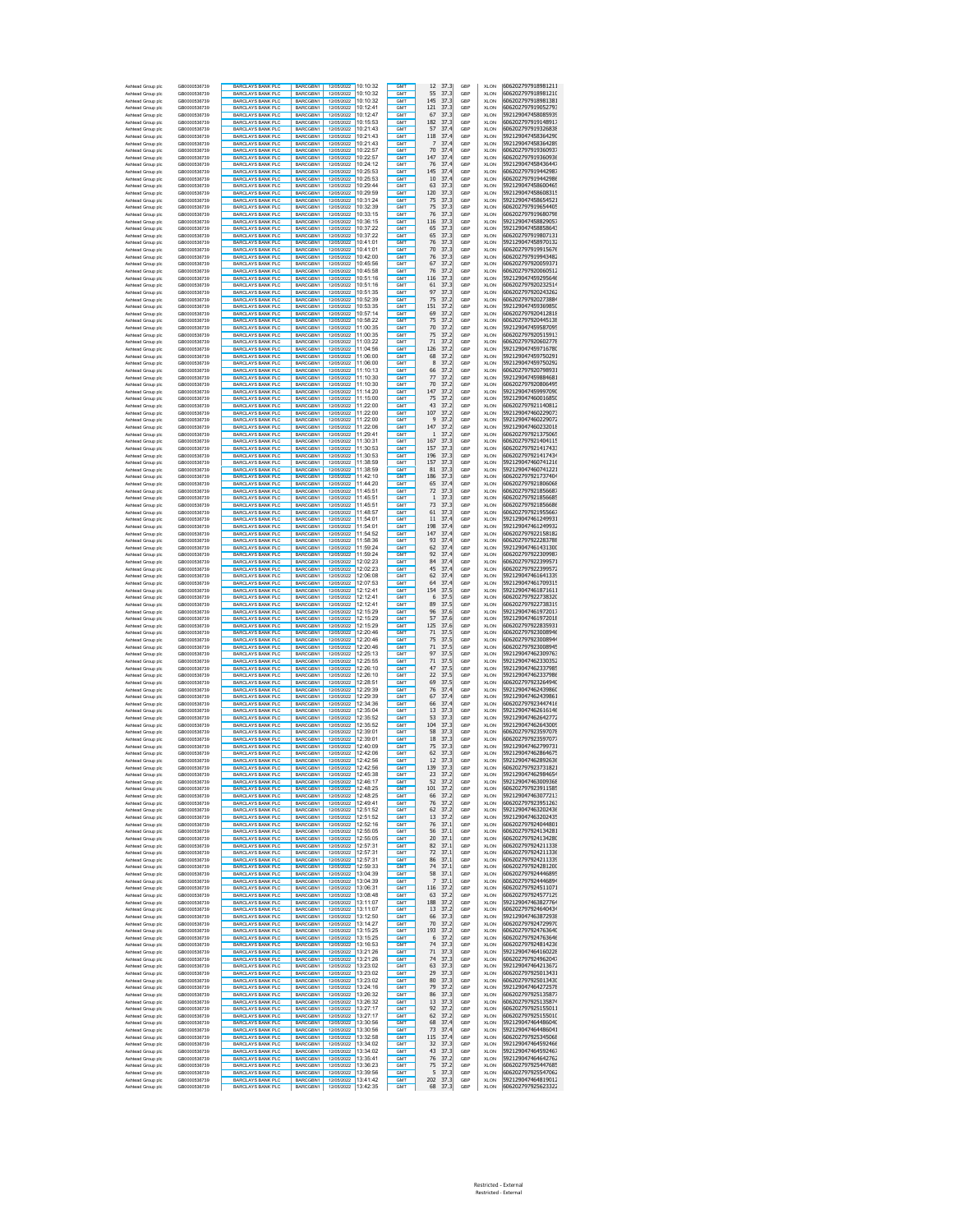| Ashtead Group plc                      | GB0000536739<br>GB0000536739 | <b>BARCLAYS BANK PLC</b><br><b>BARCLAYS BANK PLO</b>  | BARCGBN1<br><b>BARCGRN1</b> | 12/05/2022 10:10:32<br>12/05/2022 10:10:32       | GMT<br>GMT                         | 12<br>37.3<br>55<br>37.3             | GBP<br>GBP | XLON<br><b>XLON</b>        | 606202797918981211<br>606202797918981210 |
|----------------------------------------|------------------------------|-------------------------------------------------------|-----------------------------|--------------------------------------------------|------------------------------------|--------------------------------------|------------|----------------------------|------------------------------------------|
| Ashtead Group plc<br>Ashtead Group plc | GB0000536739                 | <b>BARCLAYS BANK PLC</b>                              | BARCGBN1                    | 12/05/2022<br>10:10:32                           | <b>GMT</b>                         | 145<br>37.3                          | GBP        | <b>XLON</b>                | 606202797918981381                       |
| Ashtead Group plc                      | GB0000536739                 | <b>BARCLAYS BANK PLO</b>                              | BARCGBN1                    | 12/05/2022<br>10:12:41                           | GMT                                | 121<br>37.3                          | GBP        | <b>XLON</b>                | 606202797919052793                       |
| Ashtead Group plc                      | GB0000536739                 | <b>BARCLAYS BANK PLC</b>                              | BARCGBN1                    | 12/05/2022<br>10:12:47                           | <b>GMT</b>                         | 67<br>37.3                           | GBP        | <b>XLON</b>                | 592129047458085939<br>606202797919148917 |
| Ashtead Group plc<br>Ashtead Group plc | GB0000536739<br>GB0000536739 | <b>BARCLAYS BANK PLC</b><br><b>BARCLAYS BANK PLC</b>  | BARCGBN1<br>BARCGBN1        | 12/05/2022 10:15:53<br>12/05/2022<br>10:21:43    | GM <sup>1</sup><br><b>GMT</b>      | 182<br>37.3<br>57<br>37.4            | GBP<br>GBP | <b>XLON</b><br><b>XLON</b> | 606202797919326838                       |
| Ashtead Group plc                      | GB0000536739                 | <b>BARCLAYS BANK PLC</b>                              | BARCGBN1                    | 12/05/2022<br>10:21:43                           | GM <sup>1</sup>                    | 118<br>37.4                          | GBP        | <b>XLON</b>                | 592129047458364290                       |
| Ashtead Group plc                      | GB0000536739                 | <b>BARCLAYS BANK PLC</b>                              | BARCGBN1                    | 12/05/2022<br>10:21:43                           | GM <sup>1</sup>                    | 37.4                                 | GBP        | <b>XLON</b>                | 592129047458364289                       |
| Ashtead Group plc                      | GB0000536739                 | <b>BARCLAYS BANK PLC</b>                              | BARCGBN1                    | 12/05/2022 10:22:57                              | GM <sup>1</sup>                    | 70<br>37.4                           | GBP        | <b>XLON</b>                | 606202797919360937                       |
| Ashtead Group plc<br>Ashtead Group plc | GB0000536739<br>GB0000536739 | <b>BARCLAYS BANK PLC</b><br><b>BARCLAYS BANK PLO</b>  | BARCGBN1<br>BARCGBN1        | 12/05/2022 10:22:57<br>12/05/2022 10:24:12       | GMT<br><b>GMT</b>                  | 147<br>37.4<br>37.4<br>76            | GBP<br>GBP | XLON<br>XLON               | 606202797919360936<br>592129047458436447 |
| Ashtead Group plc                      | GB0000536739                 | <b>BARCLAYS BANK PLC</b>                              | BARCGBN1                    | 12/05/2022 10:25:53                              | GM <sub>1</sub>                    | 145<br>37.4                          | GBP        | <b>XLON</b>                | 606202797919442987                       |
| Ashtead Group plc                      | GB0000536739                 | <b>BARCLAYS BANK PLC</b>                              | BARCGBN1                    | 12/05/2022 10:25:53                              | <b>GMT</b>                         | 37.4<br>10                           | GBP        | XLON                       | 606202797919442986                       |
| Ashtead Group plc                      | GB0000536739                 | <b>BARCLAYS BANK PLC</b><br><b>BARCLAYS BANK PLC</b>  | BARCGBN1<br>BARCGBN1        | 12/05/2022<br>10:29:44<br>12/05/2022 10:29:59    | GMT<br><b>GMT</b>                  | 63<br>37.3<br>37.3<br>120            | GBP        | <b>XLON</b>                | 592129047458600465<br>592129047458608315 |
| Ashtead Group plc<br>Ashtead Group plc | GB0000536739<br>GB0000536739 | <b>BARCLAYS BANK PLC</b>                              | BARCGBN1                    | 12/05/2022 10:31:24                              | GMT                                | 75<br>37.3                           | GBP<br>GBP | XLON<br><b>XLON</b>        | 592129047458654521                       |
| Ashtead Group plc                      | GB0000536739                 | <b>BARCLAYS BANK PLC</b>                              | BARCGBN1                    | 12/05/2022 10:32:39                              | GM <sub>1</sub>                    | 75<br>37.3                           | GBP        | <b>XLON</b>                | 606202797919654405                       |
| Ashtead Group plc                      | GB0000536739                 | <b>BARCLAYS BANK PLC</b>                              | BARCGBN1                    | 12/05/2022 10:33:15                              | <b>GMT</b>                         | 76<br>37.3                           | GBP        | <b>XLON</b>                | 606202797919680798                       |
| Ashtead Group plc<br>Ashtead Group plc | GB0000536739<br>GB0000536739 | <b>BARCLAYS BANK PLC</b><br><b>BARCLAYS BANK PLC</b>  | BARCGBN1<br>BARCGBN1        | 12/05/2022 10:36:15                              | GM <sub>1</sub><br><b>GMT</b>      | 116<br>37.3<br>65<br>37.3            | GBP<br>GBP | <b>XLON</b><br><b>XLON</b> | 592129047458829057<br>592129047458858643 |
| Ashtead Group plc                      | GB0000536739                 | <b>BARCLAYS BANK PLC</b>                              | BARCGBN1                    | 12/05/2022 10:37:22                              | <b>GMT</b>                         | 65<br>37.3                           | GBP        | <b>XLON</b>                | 606202797919807131                       |
| Ashtead Group plc                      | GB0000536739                 | <b>BARCLAYS BANK PLC</b>                              | BARCGBN1                    | 12/05/2022 10:41:01                              | GMT                                | 76<br>37.3                           | GBP        | <b>XLON</b>                | 592129047458970132                       |
| Ashtead Group plc                      | GB0000536739                 | <b>BARCLAYS BANK PLC</b>                              | BARCGBN1                    | 12/05/2022 10:41:01                              | GMT                                | 70<br>37.3                           | GBP        | <b>XLON</b>                | 606202797919915676                       |
| Ashtead Group plc<br>Ashtead Group plo | GB0000536739<br>GB0000536739 | <b>BARCLAYS BANK PLC</b>                              | BARCGBN1<br>BARCGBN1        | 10:42:00<br>12/05/2022<br>10:45:56<br>12/05/2022 | GMT<br>GMT                         | 76<br>37.3<br>67<br>37.2             | GBP        | <b>XLON</b>                | 606202797919943482<br>606202797920059371 |
| Ashtead Group plo                      | GB0000536739                 | <b>BARCLAYS BANK PLC</b><br><b>BARCLAYS BANK PLO</b>  | BARCGBN1                    | 10:45:58<br>12/05/2022                           | GMT                                | 76<br>37.2                           | GBP<br>GBP | <b>XLON</b><br>XLON        | 606202797920060512                       |
| Ashtead Group plo                      | GB0000536739                 | <b>BARCLAYS BANK PLC</b>                              | BARCGBN1                    | 12/05/2022<br>10:51:16                           | <b>GMT</b>                         | 116<br>37.3                          | GBP        | <b>XLON</b>                | 592129047459295646                       |
| Ashtead Group plo                      | GB0000536739                 | <b>BARCLAYS BANK PLO</b>                              | <b>BARCGRN1</b>             | 10:51:16<br>12/05/2022                           | <b>GMT</b>                         | 61<br>37.3                           | GBP        | XLON                       | 606202797920232514                       |
| Ashtead Group plc<br>Ashtead Group plc | GB0000536739<br>GB0000536739 | <b>BARCLAYS BANK PLC</b><br><b>BARCLAYS BANK PLO</b>  | BARCGBN1<br>BARCGBN1        | 12/05/2022<br>10:51:35<br>12/05/2022<br>10:52:39 | <b>GMT</b><br><b>GMT</b>           | 97<br>37.3<br>75<br>37.2             | GBP<br>GBP | <b>XLON</b><br><b>XLON</b> | 606202797920243262<br>606202797920273884 |
| Ashtead Group plc                      | GB0000536739                 | <b>BARCLAYS BANK PLC</b>                              | BARCGBN1                    | 12/05/2022<br>10:53:35                           | <b>GMT</b>                         | 151<br>37.2                          | GBP        | <b>XLON</b>                | 592129047459369850                       |
| Ashtead Group plc                      | GB0000536739                 | <b>BARCLAYS BANK PLC</b>                              | BARCGBN1                    | 12/05/2022 10:57:14                              | GM <sup>1</sup>                    | 37.2<br>69                           | GBP        | <b>XLON</b>                | 606202797920412818                       |
| Ashtead Group plc                      | GB0000536739                 | <b>BARCLAYS BANK PLC</b>                              | BARCGBN1                    | 12/05/2022 10:58:22                              | <b>GMT</b>                         | 75<br>37.2                           | GBP        | <b>XLON</b>                | 606202797920445138                       |
| Ashtead Group plc<br>Ashtead Group plc | GB0000536739<br>GB0000536739 | <b>BARCLAYS BANK PLC</b><br><b>BARCLAYS BANK PLC</b>  | BARCGBN1<br>BARCGBN1        | 12/05/2022 11:00:35<br>12/05/2022 11:00:35       | GM <sup>1</sup><br>GM <sub>1</sub> | 70<br>37.2<br>75<br>37.2             | GBP<br>GBP | <b>XLON</b><br>XLON        | 592129047459587095<br>606202797920515913 |
| Ashtead Group plc                      | GB0000536739                 | <b>BARCLAYS BANK PLO</b>                              | BARCGBN1                    | 12/05/2022 11:03:22                              | GM <sub>1</sub>                    | 71<br>37.2                           | GBP        | XLON                       | 606202797920602778                       |
| Ashtead Group plc                      | GB0000536739                 | <b>BARCLAYS BANK PLC</b>                              | BARCGBN1                    | 12/05/2022 11:04:56                              | GM <sub>1</sub>                    | 126<br>37.2                          | GBP        | XLON                       | 592129047459716780                       |
| Ashtead Group plc                      | GB0000536739                 | <b>BARCLAYS BANK PLC</b>                              | BARCGBN1                    | 12/05/2022 11:06:00                              | <b>GMT</b>                         | 37.2<br>68                           | GBP        | XLON                       | 592129047459750291                       |
| Ashtead Group plc<br>Ashtead Group plc | GB0000536739<br>GB0000536739 | <b>BARCLAYS BANK PLC</b><br><b>BARCLAYS BANK PLC</b>  | BARCGBN1<br>BARCGBN1        | 12/05/2022 11:06:00<br>12/05/2022 11:10:13       | GMT<br><b>GMT</b>                  | 8<br>37.2<br>37.2<br>66              | GBP<br>GBP | <b>XLON</b><br>XLON        | 592129047459750292<br>606202797920798931 |
| Ashtead Group plc                      | GB0000536739                 | BARCLAYS BANK PLC                                     | BARCGBN1                    | 12/05/2022 11:10:30                              | GMT                                | 77<br>37.2                           | GBP        | <b>XLON</b>                | 592129047459884681                       |
| Ashtead Group plc                      | GB0000536739                 | <b>BARCLAYS BANK PLC</b>                              | BARCGBN1                    | 12/05/2022 11:10:30                              | GM <sub>1</sub>                    | 70<br>37.2                           | GBP        | <b>XLON</b>                | 606202797920806495                       |
| Ashtead Group plc                      | GB0000536739                 | BARCLAYS BANK PLC                                     | BARCGBN1                    | 12/05/2022 11:14:20                              | GMT                                | 147<br>37.2                          | GBP        | <b>XLON</b>                | 592129047459997090                       |
| Ashtead Group plc<br>Ashtead Group plc | GB0000536739<br>GB0000536739 | BARCLAYS BANK PLC<br><b>BARCLAYS BANK PLC</b>         | BARCGBN1<br><b>BARCGRN1</b> |                                                  | GM <sub>1</sub><br><b>GMT</b>      | 37.2<br>75<br>43<br>37.2             | GBP<br>GBP | <b>XLON</b><br><b>XLON</b> | 592129047460016850<br>606202797921140812 |
| Ashtead Group plc                      | GB0000536739                 | <b>BARCLAYS BANK PLC</b>                              | BARCGBN1                    | 12/05/2022 11:22:00                              | <b>GMT</b>                         | 107<br>37.2                          | GBP        | <b>XLON</b>                | 592129047460229073                       |
| Ashtead Group plc                      | GB0000536739                 | <b>BARCLAYS BANK PLC</b>                              | BARCGBN1                    | 12/05/2022 11:22:00<br>12/05/2022 11:22:06       | GMT                                | 9<br>37.2                            | GBP        | <b>XLON</b>                | 592129047460229072                       |
| Ashtead Group plc                      | GB0000536739                 | <b>BARCLAYS BANK PLC</b>                              | BARCGBN1                    |                                                  | GMT                                | 147<br>37.2<br>$\mathbf{1}$          | GBP        | <b>XLON</b>                | 592129047460232018                       |
| Ashtead Group plc<br>Ashtead Group plo | GB0000536739<br>GB0000536739 | <b>BARCLAYS BANK PLC</b><br><b>BARCLAYS BANK PLC</b>  | BARCGBN1<br>BARCGBN1        | 12/05/2022 11:29:41<br>12/05/2022 11:30:31       | GMT<br>GMT                         | 37.2<br>167<br>37.3                  | GBP<br>GBP | XLON<br><b>XLON</b>        | 606202797921375065<br>606202797921404115 |
| Ashtead Group plo                      | GB0000536739                 | <b>BARCLAYS BANK PLO</b>                              | BARCGBN1                    | 12/05/2022 11:30:53                              | GM <sub>1</sub>                    | 157<br>37.3                          | GBP        | XLON                       | 606202797921417433                       |
| Ashtead Group plo                      | GB0000536739                 | <b>BARCLAYS BANK PLC</b>                              | BARCGBN1                    | 12/05/2022 11:30:53                              | <b>GMT</b>                         | 196<br>37.3                          | GBP        | <b>XLON</b>                | 606202797921417434                       |
| Ashtead Group plo                      | GB0000536739                 | <b>BARCLAYS BANK PLO</b>                              | BARCGBN1                    | 12/05/2022 11:38:59                              | <b>GMT</b>                         | 157<br>37.3                          | GBP        | XLON                       | 592129047460741216<br>592129047460741221 |
| Ashtead Group plc<br>Ashtead Group plc | GB0000536739<br>GB0000536739 | <b>BARCLAYS BANK PLC</b><br><b>BARCLAYS BANK PLC</b>  | BARCGBN1<br>BARCGBN1        | 12/05/2022 11:38:59<br>12/05/2022 11:42:10       | <b>GMT</b><br><b>GMT</b>           | 37.3<br>81<br>186<br>37.3            | GBP<br>GBP | <b>XLON</b><br><b>XLON</b> | 606202797921737404                       |
| Ashtead Group plc                      | GB0000536739                 | <b>BARCLAYS BANK PLC</b>                              | BARCGBN1                    | 12/05/2022 11:44:20                              | <b>GMT</b>                         | 37.4<br>65                           | GBP        | <b>XLON</b>                | 606202797921806068                       |
| Ashtead Group plc                      | GB0000536739                 | <b>BARCLAYS BANK PLC</b>                              | BARCGBN1                    | 12/05/2022 11:45:51                              | GM <sup>1</sup>                    | 72<br>37.3                           | GBP        | <b>XLON</b>                | 606202797921856687                       |
| Ashtead Group plc<br>Ashtead Group plc | GB0000536739<br>GB0000536739 | <b>BARCLAYS BANK PLC</b><br><b>BARCLAYS BANK PLC</b>  | BARCGBN1<br>BARCGBN1        | 12/05/2022 11:45:51<br>12/05/2022 11:45:51       | <b>GMT</b><br>GM <sup>1</sup>      | 37.3<br>$\overline{1}$<br>73<br>37.3 | GBP<br>GBP | <b>XLON</b><br><b>XLON</b> | 606202797921856685<br>606202797921856686 |
| Ashtead Group plc                      | GB0000536739                 | BARCLAYS BANK PLC                                     | BARCGBN1                    | 12/05/2022 11:48:57                              | GM <sub>1</sub>                    | 61<br>37.3                           | GBP        | XLON                       | 606202797921955667                       |
| Ashtead Group plc                      | GB0000536739                 | <b>BARCLAYS BANK PLO</b>                              | BARCGBN1                    | 12/05/2022 11:54:01                              | <b>GMT</b>                         | 37.4<br>11                           | GBP        | XLON                       | 592129047461249931                       |
| Ashtead Group plc                      | GB0000536739                 | <b>BARCLAYS BANK PLC</b>                              | BARCGBN1                    | 12/05/2022 11:54:01                              | GM <sub>1</sub>                    | 37.4<br>198                          | GBP        | <b>XLON</b>                | 592129047461249932                       |
| Ashtead Group plc<br>Ashtead Group plc | GB0000536739<br>GB0000536739 | <b>BARCLAYS BANK PLC</b><br><b>BARCLAYS BANK PLC</b>  | BARCGBN1<br>BARCGBN1        | 12/05/2022 11:54:52<br>12/05/2022 11:58:36       | <b>GMT</b><br>GMT                  | 147<br>37.4<br>37.4<br>93            | GBP<br>GBP | XLON<br><b>XLON</b>        | 606202797922158182<br>606202797922283788 |
| Ashtead Group plc                      | GB0000536739                 | <b>BARCLAYS BANK PLC</b>                              | BARCGBN1                    | 12/05/2022 11:59:24                              | <b>GMT</b>                         | 37.4<br>62                           | GBP        | XLON                       | 592129047461431300                       |
| Ashtead Group plc                      | GB0000536739                 | <b>BARCLAYS BANK PLC</b>                              | BARCGBN1                    | 12/05/2022 11:59:24                              | GMT                                | 92<br>37.4                           | GBP        | <b>XLON</b>                | 606202797922309987                       |
| Ashtead Group plc                      | GB0000536739                 | <b>BARCLAYS BANK PLC</b>                              | BARCGBN1                    | 12/05/2022 12:02:23                              | GM <sub>1</sub>                    | 84<br>37.4                           | GBP        | <b>XLON</b>                | 606202797922399571                       |
| Ashtead Group plc<br>Ashtead Group plc | GB0000536739<br>GB0000536739 | <b>BARCLAYS BANK PLC</b><br><b>BARCLAYS BANK PLC</b>  | BARCGBN1<br>BARCGBN1        | 12/05/2022 12:02:23<br>12/05/2022 12:06:08       | GMT<br>GM <sub>1</sub>             | 45<br>37.4<br>62<br>37.4             | GBP<br>GBP | <b>XLON</b><br><b>XLON</b> | 606202797922399572<br>592129047461641339 |
| Ashtead Group plc                      | GB0000536739                 | <b>BARCLAYS BANK PLC</b>                              | BARCGBN1                    |                                                  | <b>GMT</b>                         | 64<br>37.4                           | GBP        | <b>XLON</b>                | 592129047461709315                       |
| Ashtead Group plc                      | GB0000536739                 | <b>BARCLAYS BANK PLC</b>                              | BARCGBN1                    | 12/05/2022 12:07:53                              | <b>GMT</b>                         | 37.5<br>154                          | GBP        | <b>XLON</b>                | 592129047461871611                       |
| Ashtead Group plc                      | GB0000536739<br>GB0000536739 | <b>BARCLAYS BANK PLC</b>                              | BARCGBN1                    | 12/05/2022 12:12:41                              | GMT<br>GMT                         | 6<br>37.5<br>89<br>37.5              | GBP        | <b>XLON</b>                | 606202797922738320                       |
| Ashtead Group plc<br>Ashtead Group plo | GB0000536739                 | <b>BARCLAYS BANK PLC</b><br><b>BARCLAYS BANK PLC</b>  | BARCGBN1<br>BARCGBN1        | 12/05/2022 12:12:41<br>12/05/2022 12:15:29       | GMT                                | 96<br>37.6                           | GBP<br>GBP | <b>XLON</b><br><b>XLON</b> | 606202797922738319<br>592129047461972017 |
| Ashtead Group plo                      | GB0000536739                 | <b>BARCLAYS BANK PLC</b>                              | BARCGBN1                    | 12/05/2022 12:15:29                              | GMT                                | 57<br>37.6                           | GBP        | <b>XLON</b>                | 592129047461972018                       |
| Ashtead Group plo                      | GB0000536739                 | <b>BARCLAYS BANK PLO</b>                              | BARCGBN1                    | 12/05/2022 12:15:29                              | GMT                                | 125<br>37.6                          | GBP        | XLON                       | 606202797922835931                       |
| Ashtead Group plo<br>Ashtead Group plo | GB0000536739<br>GB0000536739 | <b>BARCLAYS BANK PLC</b><br><b>BARCLAYS BANK PLO</b>  | BARCGBN1<br>BARCGBN1        | 12/05/2022 12:20:46<br>12:20:46<br>12/05/2022    | <b>GMT</b><br><b>GMT</b>           | 71<br>37.5<br>75<br>37.5             | GBP<br>GBP | <b>XLON</b><br>XLON        | 606202797923008946<br>606202797923008944 |
| Ashtead Group plc                      | GB0000536739                 | <b>BARCLAYS BANK PLC</b>                              | BARCGBN1                    | 12/05/2022<br>12:20:46                           | <b>GMT</b>                         | 71<br>37.5                           | GBP        | <b>XLON</b>                | 606202797923008945                       |
| Ashtead Group plc                      | GB0000536739                 | <b>BARCLAYS BANK PLC</b>                              | BARCGBN1                    | 12/05/2022 12:25:13                              | <b>GMT</b>                         | 97<br>37.5                           | GBP        | <b>XLON</b>                | 592129047462309763                       |
| Ashtead Group plc                      | GB0000536739                 | <b>BARCLAYS BANK PLC</b>                              | BARCGBN1                    | 12/05/2022<br>12:25:55                           | <b>GMT</b>                         | 71<br>37.5                           | GBP        | <b>XLON</b>                | 592129047462330352                       |
| Ashtead Group plc<br>Ashtead Group plc | GB0000536739<br>GB0000536739 | <b>BARCLAYS BANK PLC</b><br><b>BARCLAYS BANK PLC</b>  | BARCGBN1<br>BARCGBN1        | 12/05/2022 12:26:10<br>12/05/2022 12:26:10       | GM <sup>1</sup><br><b>GMT</b>      | 47<br>37.5<br>22<br>37.5             | GBP<br>GBP | <b>XLON</b><br><b>XLON</b> | 592129047462337985<br>592129047462337986 |
| Ashtead Group plc                      | GB0000536739                 | <b>BARCLAYS BANK PLC</b>                              | BARCGBN1                    | 12/05/2022 12:28:51                              | GM <sup>1</sup>                    | 69<br>37.5                           | GBP        | <b>XLON</b>                | 606202797923264940                       |
| Ashtead Group plc                      | GB0000536739                 | BARCLAYS BANK PLC                                     | BARCGBN1                    | 12/05/2022 12:29:39                              | GM <sub>1</sub>                    | 76<br>37.4                           | GBP        | XLON                       | 592129047462439860                       |
| Ashtead Group plc                      | GB0000536739                 | <b>BARCLAYS BANK PLO</b>                              | BARCGBN1                    | 12/05/2022 12:29:39                              | <b>GMT</b>                         | 67<br>37.4                           | GBP        | XLON                       | 592129047462439861                       |
| Ashtead Group plc<br>Ashtead Group plc | GB0000536739<br>GB0000536739 | <b>BARCLAYS BANK PLC</b><br><b>BARCLAYS BANK PLC</b>  | BARCGBN1<br>BARCGBN1        | 12/05/2022 12:34:36<br>12/05/2022 12:35:04       | GM <sub>1</sub><br><b>GMT</b>      | 37.4<br>66<br>37.3<br>13             | GBP<br>GBP | XLON<br>XLON               | 606202797923447416<br>592129047462616146 |
| Ashtead Group plc                      | GB0000536739                 | <b>BARCLAYS BANK PLC</b>                              | BARCGBN1                    | 12/05/2022 12:35:52                              | GMT                                | 53<br>37.3                           | GBP        | <b>XLON</b>                | 592129047462642772                       |
| Ashtead Group plc                      | GB0000536739                 | <b>BARCLAYS BANK PLC</b>                              | BARCGBN1                    | 12/05/2022 12:35:52                              | <b>GMT</b>                         | 37.3<br>104                          | GBP        | XLON                       | 592129047462643009                       |
| Ashtead Group plc                      | GB0000536739                 | BARCLAYS BANK PLC                                     | BARCGBN1                    | 12/05/2022 12:39:01                              | GMT                                | 58<br>37.3                           | GBP        | <b>XLON</b>                | 606202797923597078                       |
| Ashtead Group plc<br>Ashtead Group plc | GB0000536739<br>GB0000536739 | <b>BARCLAYS BANK PLC</b><br>BARCLAYS BANK PLC         | BARCGBN1<br><b>BARCGRN1</b> | 12/05/2022 12:39:01<br>12/05/2022 12:40:09       | GM <sub>1</sub><br>GMT             | 18<br>37.3<br>75<br>37.3             | GBP<br>GBP | <b>XLON</b><br><b>XLON</b> | 606202797923597077<br>592129047462799731 |
| Ashtead Group plc                      | GR0000536739                 | <b>BARCLAYS BANK PLC</b>                              | BARCGBN1                    | 12/05/2022 12:42:06                              | GM <sub>1</sub>                    | 62<br>37.3                           | GBP        | <b>XLON</b>                | 592129047462864675                       |
| Ashtead Group plc                      | GB0000536739                 | <b>BARCLAYS BANK PLC</b>                              | BARCGBN1                    | 12/05/2022 12:42:56                              | <b>GMT</b>                         | 12<br>37.3                           | GBP        | <b>XLON</b>                | 592129047462892636                       |
| Ashtead Group plc<br>Asht              | GB0000536739<br>GR0000536739 | <b>BARCLAYS BANK PLC.</b><br><b>BARCLAYS BANK PLO</b> | BARCGBN1<br><b>BARCGRN1</b> | 12/05/2022                                       | <b>GMT</b><br><b>GMT</b>           | 139<br>37.3<br>23<br>37.2            | GBP<br>GBP | <b>XLON</b><br>XI ON       | 606202797923731821<br>592129047462984654 |
| ad Group plo<br>Ashtead Group plc      | GB0000536739                 | <b>BARCLAYS BANK PLC</b>                              | BARCGBN1                    | 12:45:38<br>12/05/2022 12:46:17                  | GMT                                | 52<br>37.2                           | GBP        | <b>XLON</b>                | 592129047463009368                       |
| Ashtead Group plc                      | GB0000536739                 | <b>BARCLAYS BANK PLC</b>                              | BARCGBN1                    | 12/05/2022 12:48:25                              | GMT                                | 101<br>37.2                          | GBP        | <b>XLON</b>                | 606202797923911585                       |
| Ashtead Group plc                      | GB0000536739<br>GB0000536739 | BARCLAYS BANK PLC<br><b>BARCLAYS BANK PLO</b>         | BARCGBN1<br><b>BARCGRN1</b> | 12/05/2022 12:48:25<br>12:49:41<br>12/05/2022    | GMT<br>GMT                         | 66<br>37.2                           | GBP<br>GBP | <b>XLON</b>                | 592129047463077213<br>606202797923951263 |
| Ashtead Group plc<br>Ashtead Group plc | GB0000536739                 | <b>BARCLAYS BANK PLC</b>                              | BARCGBN1                    | 12/05/2022<br>12:51:52                           | <b>GMT</b>                         | 76<br>37.2<br>62<br>37.2             | GBP        | <b>XLON</b><br><b>XLON</b> | 592129047463202436                       |
| Ashtead Group plc                      | GB0000536739                 | <b>BARCLAYS BANK PLC</b>                              | <b>BARCGRN1</b>             | 12:51:52<br>12/05/2022                           | GMT                                | 13<br>37.2                           | GBP        | <b>XLON</b>                | 592129047463202435                       |
| Ashtead Group plc                      | GB0000536739                 | <b>BARCLAYS BANK PLC</b>                              | BARCGBN1                    | 12/05/2022<br>12:52:16                           | <b>GMT</b>                         | 76<br>37.1                           | GBP        | <b>XLON</b>                | 606202797924044801                       |
| Ashtead Group plc<br>Ashtead Group plc | GB0000536739<br>GB0000536739 | BARCLAYS BANK PLC<br><b>BARCLAYS BANK PLC</b>         | BARCGBN1<br>BARCGBN1        | 12/05/2022 12:55:05<br>12/05/2022 12:55:05       | <b>GMT</b><br><b>GMT</b>           | 37.1<br>56<br>20<br>37.1             | GBP<br>GBP | <b>XLON</b><br><b>XLON</b> | 606202797924134281<br>606202797924134280 |
| Ashtead Group plc                      | GB0000536739                 | BARCLAYS BANK PLC                                     | BARCGBN1                    | 12/05/2022 12:57:31                              | <b>GMT</b>                         | 37.1<br>82                           | GBP        | <b>XLON</b>                | 606202797924211338                       |
| Ashtead Group plc                      | GB0000536739                 | <b>BARCLAYS BANK PLO</b>                              | BARCGBN1                    | 12/05/2022<br>12:57:31                           | <b>GMT</b>                         | 72<br>37.1                           | GBP        | <b>XLON</b>                | 606202797924211336                       |
| Ashtead Group plc                      | GB0000536739                 | <b>BARCLAYS BANK PLC</b>                              | BARCGBN1                    | 12/05/2022 12:57:31                              | <b>GMT</b>                         | 37.1<br>86                           | GBP        | <b>XLON</b>                | 606202797924211339                       |
| Ashtead Group plc<br>Ashtead Group plc | GB0000536739<br>GB0000536739 | <b>BARCLAYS BANK PLC</b><br><b>BARCLAYS BANK PLC</b>  | BARCGBN1<br>BARCGBN1        | 12/05/2022 12:59:33<br>12/05/2022 13:04:39       | GMT<br>GMT                         | 74<br>37.1<br>58<br>37.1             | GBP<br>GBP | XLON<br>XLON               | 606202797924281200<br>606202797924446895 |
| Ashtead Group plc                      | GB0000536739                 | <b>BARCLAYS BANK PLC</b>                              | BARCGBN1                    | 12/05/2022 13:04:39                              | GMT                                | $\overline{7}$<br>37.1               | GBP        | XLON                       | 606202797924446894                       |
| Ashtead Group plc                      | GB0000536739                 | <b>BARCLAYS BANK PLC</b>                              | BARCGBN1                    | 12/05/2022 13:06:31                              | <b>GMT</b>                         | 37.2<br>116                          | GBP        | XLON                       | 606202797924511071                       |
| Ashtead Group plc                      | GB0000536739                 | <b>BARCLAYS BANK PLC</b>                              | BARCGBN1                    | 12/05/2022 13:08:48                              | GMT                                | 63<br>37.2                           | GBP        | XLON                       | 606202797924577129                       |
| Ashtead Group plc<br>Ashtead Group plc | GB0000536739<br>GB0000536739 | <b>BARCLAYS BANK PLC</b><br>BARCLAYS BANK PLC         | BARCGBN1<br>BARCGBN1        | 12/05/2022 13:11:07<br>12/05/2022 13:11:07       | <b>GMT</b><br>GMT                  | 37.2<br>188<br>13<br>37.2            | GBP<br>GBP | XLON<br><b>XLON</b>        | 592129047463827764<br>606202797924640434 |
| Ashtead Group plc                      | GB0000536739                 | <b>BARCLAYS BANK PLC</b>                              | BARCGBN1                    | 12/05/2022 13:12:50                              | GMT                                | 37.3<br>66                           | GBP        | <b>XLON</b>                | 592129047463872938                       |
| Ashtead Group plc                      | GB0000536739                 | BARCLAYS BANK PLC                                     | BARCGBN1                    | 12/05/2022 13:14:27                              | <b>GMT</b>                         | 70<br>37.2                           | GBP        | <b>XLON</b>                | 606202797924729970                       |
| Ashtead Group plc                      | GR0000536739                 | <b>BARCLAYS BANK PLC</b>                              | BARCGBN1                    | 12/05/2022 13:15:25                              | GMT                                | 193<br>37.2                          | GBP        | <b>XLON</b>                | 606202797924763640                       |
| Ashtead Group plc<br>Ashtead Group plc | GB0000536739<br>GB0000536739 | <b>BARCLAYS BANK PLC</b><br><b>BARCLAYS BANK PLC</b>  | BARCGBN1<br>BARCGBN1        | 12/05/2022 13:15:25                              | <b>GMT</b><br><b>GMT</b>           | 37.2<br>6<br>74<br>37.3              | GBP<br>GBP | <b>XLON</b><br><b>XLON</b> | 606202797924763646<br>606202797924814236 |
| Ashtead Group plc                      | GB0000536739                 | <b>BARCLAYS BANK PLC</b>                              | BARCGBN1                    | 12/05/2022 13:21:26                              | <b>GMT</b>                         | 71<br>37.3                           | GBP        | <b>XLON</b>                | 592129047464160228                       |
| Ashtead Group plc                      | GB0000536739                 | <b>BARCLAYS BANK PLC</b>                              | BARCGBN1                    | 12/05/2022 13:21:26                              | GMT                                | 74<br>37.3                           | GBP        | XLON                       | 606202797924962047                       |
| Ashtead Group plc                      | GB0000536739                 | <b>BARCLAYS BANK PLC</b>                              | BARCGBN1                    | 12/05/2022 13:23:02                              | GMT                                | 63<br>37.3                           | GBP        | <b>XLON</b>                | 592129047464213672                       |
| Ashtead Group plc<br>Ashtead Group plc | GB0000536739<br>GB0000536739 | <b>BARCLAYS BANK PLC</b><br><b>BARCLAYS BANK PLC</b>  | BARCGBN1<br>RARCGBN1        | 12/05/2022 13:23:02<br>12/05/2022 13:23:02       | GMT<br><b>GMT</b>                  | 29<br>37.3<br>80<br>37.3             | GBP<br>GBP | XLON<br><b>XLON</b>        | 606202797925013431<br>606202797925013430 |
| Ashtead Group plc                      | GB0000536739                 | <b>BARCLAYS BANK PLC</b>                              | BARCGBN1                    | 12/05/2022<br>13:24:16                           | GMT                                | 79<br>37.2                           | GBP        | <b>XLON</b>                | 592129047464272578                       |
| Ashtead Group plc                      | GB0000536739                 | <b>BARCLAYS BANK PLC</b>                              | BARCGBN1                    | 13:26:32<br>12/05/2022                           | GMT                                | 86<br>37.3                           | GBP        | <b>XLON</b>                | 606202797925135877                       |
| Ashtead Group plc                      | GB0000536739                 | <b>BARCLAYS BANK PLC</b>                              | BARCGBN1                    | 12/05/2022<br>13:26:32                           | <b>GMT</b>                         | 13<br>37.3                           | GBP        | <b>XLON</b>                | 606202797925135874                       |
| Ashtead Group plc<br>Ashtead Group plc | GB0000536739<br>GB0000536739 | <b>BARCLAYS BANK PLC</b><br><b>BARCLAYS BANK PLC</b>  | BARCGBN1<br>BARCGBN1        | 12/05/2022 13:27:17<br>12/05/2022<br>13:27:17    | <b>GMT</b><br><b>GMT</b>           | 37.2<br>92<br>37.2<br>62             | GBP<br>GBP | <b>XLON</b><br><b>XLON</b> | 606202797925155011<br>606202797925155010 |
| Ashtead Group plc                      | GB0000536739                 | <b>BARCLAYS BANK PLC</b>                              | BARCGBN1                    | 12/05/2022 13:30:56                              | GM <sup>1</sup>                    | 37.4<br>68                           | GBP        | <b>XLON</b>                | 592129047464486040                       |
| Ashtead Group plc                      | GB0000536739                 | <b>BARCLAYS BANK PLC</b>                              | BARCGBN1                    | 12/05/2022<br>13:30:56                           | <b>GMT</b>                         | 73<br>37.4                           | GBP        | <b>XLON</b>                | 592129047464486041                       |
| Ashtead Group plc                      | GB0000536739<br>GB0000536739 | <b>BARCLAYS BANK PLC</b><br><b>BARCLAYS BANK PLC</b>  | BARCGBN1<br>BARCGBN1        | 12/05/2022 13:32:58<br>12/05/2022 13:34:02       | <b>GMT</b><br>GMT                  | 37.4<br>115<br>32<br>37.3            | GBP<br>GBP | <b>XLON</b><br><b>XLON</b> | 606202797925345068<br>592129047464592466 |
| Ashtead Group plc<br>Ashtead Group plc | GB0000536739                 | <b>BARCLAYS BANK PLC</b>                              | BARCGBN1                    | 12/05/2022 13:34:02                              | GMT                                | 43<br>37.3                           | GBP        | XLON                       | 592129047464592467                       |
| Ashtead Group plc                      | GB0000536739                 | <b>BARCLAYS BANK PLC</b>                              | BARCGBN1                    | 12/05/2022 13:35:41                              | GMT                                | 37.2<br>76                           | GBP        | <b>XLON</b>                | 592129047464642762                       |
| Ashtead Group plc                      | GB0000536739                 | <b>BARCLAYS BANK PLC</b>                              | BARCGBN1                    | 12/05/2022 13:36:23                              | <b>GMT</b>                         | 37.2<br>75<br>5                      | GBP        | XLON                       | 606202797925447685                       |
| Ashtead Group plc<br>Ashtead Group plc | GB0000536739<br>GB0000536739 | <b>BARCLAYS BANK PLC</b><br><b>BARCLAYS BANK PLC</b>  | BARCGBN1<br>BARCGBN1        | 12/05/2022 13:39:56<br>12/05/2022 13:41:42       | GMT<br><b>GMT</b>                  | 37.3<br>37.3<br>202                  | GBP<br>GBP | <b>XLON</b><br><b>XLON</b> | 606202797925547062<br>592129047464819012 |
| Ashtead Group plo                      | GB0000536739                 | <b>BARCLAYS BANK PLC</b>                              | BARCGBN1                    | 12/05/2022 13:42:35                              | GMT                                | 68<br>37.3                           | GBP        | <b>XLON</b>                | 606202797925623322                       |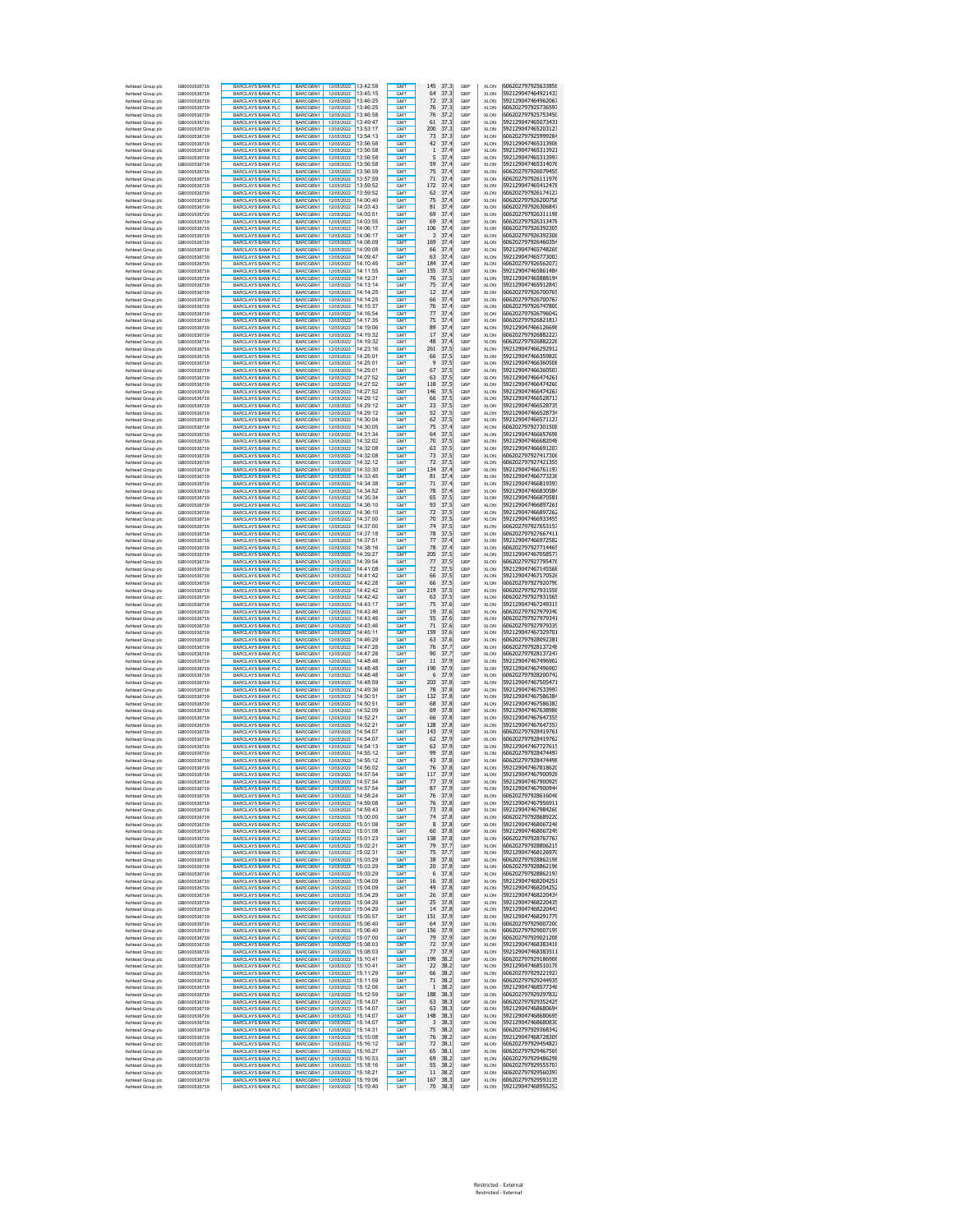| Ashtead Group plc                      | GB0000536739<br>GB0000536739 | <b>BARCLAYS BANK PLC</b><br><b>BARCLAYS BANK PLO</b>  | BARCGBN1<br><b>BARCGRN1</b>                      | 12/05/2022 13:42:58<br>12/05/2022 13:45:15 | GMT<br>GMT                         | 145<br>37.3<br>64                     | GBP<br>GBP | <b>XLON</b><br><b>XLON</b> | 606202797925633856<br>592129047464921433 |
|----------------------------------------|------------------------------|-------------------------------------------------------|--------------------------------------------------|--------------------------------------------|------------------------------------|---------------------------------------|------------|----------------------------|------------------------------------------|
| Ashtead Group plc<br>Ashtead Group plc | GB0000536739                 | <b>BARCLAYS BANK PLC</b>                              | BARCGBN1<br>12/05/2022                           | 13:46:25                                   | <b>GMT</b>                         | 37.3<br>72<br>37.3                    | GBP        | <b>XLON</b>                | 592129047464962067                       |
| Ashtead Group plc                      | GB0000536739                 | <b>BARCLAYS BANK PLO</b>                              | BARCGBN1<br>12/05/2022                           | 13:46:25                                   | <b>GMT</b>                         | 76<br>37.3                            | GBP        | <b>XLON</b>                | 606202797925736597                       |
| Ashtead Group plc                      | GB0000536739                 | <b>BARCLAYS BANK PLC</b>                              | BARCGBN1<br>12/05/2022                           | 13:46:58                                   | <b>GMT</b>                         | 76<br>37.2                            | GBP        | <b>XLON</b>                | 606202797925753450                       |
| Ashtead Group plc<br>Ashtead Group plc | GB0000536739<br>GB0000536739 | <b>BARCLAYS BANK PLC</b><br><b>BARCLAYS BANK PLC</b>  | BARCGBN1<br>BARCGBN1                             | 12/05/2022 13:49:47<br>12/05/2022 13:53:17 | GM <sup>1</sup><br><b>GMT</b>      | 61<br>37.3<br>200<br>37.3             | GBP<br>GBP | <b>XLON</b><br><b>XLON</b> | 592129047465073431<br>592129047465203123 |
| Ashtead Group plc                      | GB0000536739                 | <b>BARCLAYS BANK PLC</b>                              | BARCGBN1                                         | 12/05/2022 13:54:13                        | GM <sup>1</sup>                    | 37.3<br>73                            | GBP        | <b>XLON</b>                | 606202797925999264                       |
| Ashtead Group plc                      | GB0000536739                 | <b>BARCLAYS BANK PLC</b>                              | BARCGBN1<br>12/05/2022                           | 13:56:58                                   | <b>GMT</b>                         | 42<br>37.4                            | GBP        | <b>XLON</b>                | 592129047465313906                       |
| Ashtead Group plc                      | GB0000536739                 | <b>BARCLAYS BANK PLC</b><br>BARCLAYS BANK PLC         | BARCGBN1                                         | 12/05/2022 13:56:58                        | GM <sup>1</sup>                    | 37.4<br>$\mathbf{1}$                  | GBP        | <b>XLON</b>                | 592129047465313921                       |
| Ashtead Group plc<br>Ashtead Group plc | GB0000536739<br>GB0000536739 | <b>BARCLAYS BANK PLO</b>                              | BARCGBN1<br>BARCGBN1                             | 12/05/2022 13:56:58<br>12/05/2022 13:56:58 | GMT<br><b>GMT</b>                  | 5<br>37.4<br>59<br>37.4               | GBP<br>GBP | XLON<br>XLON               | 592129047465313997<br>592129047465314076 |
| Ashtead Group plc                      | GB0000536739                 | <b>BARCLAYS BANK PLC</b>                              | BARCGBN1                                         | 12/05/2022 13:56:59                        | GM <sub>1</sub>                    | 75<br>37.4                            | GBP        | <b>XLON</b>                | 606202797926079455                       |
| Ashtead Group plo                      | GB0000536739                 | <b>BARCLAYS BANK PLC</b>                              | BARCGBN1                                         | 12/05/2022 13:57:59                        | <b>GMT</b>                         | 71<br>37.4                            | GBP        | <b>XLON</b>                | 606202797926111976                       |
| Ashtead Group plc                      | GB0000536739                 | <b>BARCLAYS BANK PLC</b><br><b>BARCLAYS BANK PLC</b>  | BARCGBN1<br>12/05/2022<br>BARCGBN1               | 13:59:52<br>12/05/2022 13:59:52            | GMT<br><b>GMT</b>                  | 37.4<br>172<br>37.4<br>62             | GBP        | <b>XLON</b>                | 592129047465412478<br>606202797926174127 |
| Ashtead Group plc<br>Ashtead Group plc | GB0000536739<br>GB0000536739 | <b>BARCLAYS BANK PLC</b>                              | BARCGBN1                                         | 12/05/2022 14:00:40                        | GMT                                | 75<br>37.4                            | GBP<br>GBP | XLON<br><b>XLON</b>        | 606202797926200758                       |
| Ashtead Group plc                      | GB0000536739                 | <b>BARCLAYS BANK PLC</b>                              | BARCGBN1                                         | 12/05/2022 14:03:43                        | GM <sub>1</sub>                    | 81<br>37.4                            | GBP        | <b>XLON</b>                | 606202797926306847                       |
| Ashtead Group plc                      | GB0000536739                 | <b>BARCLAYS BANK PLC</b>                              | BARCGBN1                                         | 12/05/2022 14:03:51                        | GMT                                | 69<br>37.4                            | GBP        | <b>XLON</b>                | 606202797926311198                       |
| Ashtead Group plc<br>Ashtead Group plc | GB0000536739<br>GB0000536739 | <b>BARCLAYS BANK PLC</b><br><b>BARCLAYS BANK PLC</b>  | BARCGBN1<br>BARCGBN1                             | 12/05/2022 14:03:55                        | GM <sub>1</sub><br><b>GMT</b>      | 69<br>37.4<br>106<br>37.4             | GBP<br>GBP | <b>XLON</b><br><b>XLON</b> | 606202797926313478<br>606202797926392305 |
| Ashtead Group plc                      | GB0000536739                 | <b>BARCLAYS BANK PLC</b>                              | BARCGBN1                                         | 12/05/2022 14:06:17<br>12/05/2022 14:06:17 | <b>GMT</b>                         | 3<br>37.4                             | GBP        | <b>XLON</b>                | 606202797926392306                       |
| Ashtead Group plc                      | GB0000536739                 | <b>BARCLAYS BANK PLC</b>                              | BARCGBN1                                         | 12/05/2022 14:08:09                        | GMT                                | 169<br>37.4                           | GBP        | <b>XLON</b>                | 606202797926460354                       |
| Ashtead Group plc                      | GB0000536739                 | <b>BARCLAYS BANK PLC</b>                              | BARCGBN1                                         | 12/05/2022 14:09:08                        | GMT                                | 66<br>37.4                            | GBP        | <b>XLON</b>                | 592129047465748269                       |
| Ashtead Group plo<br>Ashtead Group plo | GB0000536739<br>GB0000536739 | <b>BARCLAYS BANK PLC</b>                              | BARCGBN1                                         | 12/05/2022 14:09:47<br>12/05/2022 14:10:45 | GMT<br>GMT                         | 63<br>37.4<br>184<br>37.4             | GBP        | <b>XLON</b>                | 592129047465773003                       |
| Ashtead Group plo                      | GB0000536739                 | <b>BARCLAYS BANK PLC</b><br><b>BARCLAYS BANK PLO</b>  | BARCGBN1<br>BARCGBN1<br>12/05/2022               | 14:11:55                                   | GMT                                | 155<br>37.5                           | GBP<br>GBP | <b>XLON</b><br>XLON        | 606202797926562073<br>592129047465861484 |
| Ashtead Group plo                      | GB0000536739                 | <b>BARCLAYS BANK PLC</b>                              | BARCGBN1<br>12/05/2022                           | 14:12:31                                   | <b>GMT</b>                         | 76<br>37.5                            | GBP        | <b>XLON</b>                | 592129047465888194                       |
| Ashtead Group plo                      | GB0000536739                 | <b>BARCLAYS BANK PLO</b>                              | <b>BARCGRN1</b><br>12/05/2022                    | 14:13:14                                   | <b>GMT</b>                         | 75<br>37.4                            | GBP        | XLON                       | 592129047465912843                       |
| Ashtead Group plc<br>Ashtead Group plc | GB0000536739<br>GB0000536739 | <b>BARCLAYS BANK PLC</b><br><b>BARCLAYS BANK PLO</b>  | BARCGBN1<br>BARCGBN1                             | 12/05/2022 14:14:25<br>12/05/2022 14:14:25 | <b>GMT</b><br><b>GMT</b>           | 12<br>37.4<br>66<br>37.4              | GBP<br>GBP | <b>XLON</b><br><b>XLON</b> | 606202797926700765<br>606202797926700767 |
| Ashtead Group plc                      | GB0000536739                 | <b>BARCLAYS BANK PLC</b>                              | BARCGBN1                                         | 12/05/2022 14:15:37                        | <b>GMT</b>                         | 76<br>37.4                            | GBP        | <b>XLON</b>                | 606202797926747800                       |
| Ashtead Group plc                      | GB0000536739                 | <b>BARCLAYS BANK PLC</b>                              | BARCGBN1                                         | 12/05/2022 14:16:54                        | GM <sup>1</sup>                    | 77<br>37.4                            | GBP        | <b>XLON</b>                | 606202797926796042                       |
| Ashtead Group plc                      | GB0000536739                 | <b>BARCLAYS BANK PLC</b>                              | BARCGBN1                                         | 12/05/2022 14:17:35                        | <b>GMT</b>                         | 75<br>37.4                            | GBP        | <b>XLON</b>                | 606202797926821817                       |
| Ashtead Group plc<br>Ashtead Group plc | GB0000536739<br>GB0000536739 | <b>BARCLAYS BANK PLC</b><br><b>BARCLAYS BANK PLC</b>  | BARCGBN1<br>BARCGBN1                             | 12/05/2022 14:19:06<br>12/05/2022 14:19:32 | GM <sup>1</sup><br>GM <sub>1</sub> | 89<br>37.4<br>17<br>37.4              | GBP<br>GBP | <b>XLON</b><br><b>XLON</b> | 592129047466126698<br>606202797926882227 |
| Ashtead Group plc                      | GB0000536739                 | <b>BARCLAYS BANK PLO</b>                              | BARCGBN1                                         | 12/05/2022 14:19:32                        | GM <sub>1</sub>                    | 48<br>37.4                            | GBP        | XLON                       | 606202797926882226                       |
| Ashtead Group plc                      | GB0000536739                 | <b>BARCLAYS BANK PLC</b>                              | BARCGBN1                                         | 12/05/2022 14:23:16                        | GM <sub>1</sub>                    | 261<br>37.5                           | GBP        | XLON                       | 592129047466292912                       |
| Ashtead Group plc                      | GB0000536739                 | <b>BARCLAYS BANK PLC</b>                              | BARCGBN1                                         | 12/05/2022 14:25:01                        | <b>GMT</b>                         | 37.5<br>66                            | GBP        | XLON                       | 592129047466359820                       |
| Ashtead Group plc<br>Ashtead Group plc | GB0000536739<br>GB0000536739 | <b>BARCLAYS BANK PLC</b><br><b>BARCLAYS BANK PLC</b>  | BARCGBN1<br>12/05/2022<br>BARCGBN1               | 14:25:01<br>12/05/2022 14:25:01            | GMT<br><b>GMT</b>                  | 9<br>37.5<br>67<br>37.5               | GBP<br>GBP | <b>XLON</b><br>XLON        | 592129047466360508<br>592129047466360507 |
| Ashtead Group plc                      | GB0000536739                 | BARCLAYS BANK PLC                                     | BARCGBN1                                         | 12/05/2022 14:27:52                        | GMT                                | 63<br>37.5                            | GBP        | <b>XLON</b>                | 592129047466474261                       |
| Ashtead Group plc                      | GB0000536739                 | <b>BARCLAYS BANK PLC</b>                              | BARCGBN1                                         | 12/05/2022 14:27:52                        | GM <sub>1</sub>                    | 37.5<br>118                           | GBP        | <b>XLON</b>                | 592129047466474260                       |
| Ashtead Group plc                      | GB0000536739                 | BARCLAYS BANK PLC                                     | BARCGBN1                                         | 12/05/2022 14:27:52                        | GMT                                | 146<br>37.5                           | GBP        | <b>XLON</b>                | 592129047466474267                       |
| Ashtead Group plc<br>Ashtead Group plc | GB0000536739<br>GB0000536739 | BARCLAYS BANK PLC<br><b>BARCLAYS BANK PLC</b>         | BARCGBN1<br><b>BARCGRN1</b>                      | 12/05/2022 14:29:12                        | GM <sub>1</sub><br><b>GMT</b>      | 66<br>37.5<br>23<br>37.5              | GBP<br>GBP | <b>XLON</b><br><b>XLON</b> | 592129047466528713<br>592129047466528735 |
| Ashtead Group plc                      | GB0000536739                 | <b>BARCLAYS BANK PLC</b>                              | BARCGBN1                                         | 12/05/2022 14:29:12                        | GM <sub>1</sub>                    | 52<br>37.5                            | GBP        | <b>XLON</b>                | 592129047466528734                       |
| Ashtead Group plc                      | GB0000536739                 | <b>BARCLAYS BANK PLC</b>                              | BARCGBN1                                         | 12/05/2022 14:30:04                        | GMT                                | 62<br>37.5                            | GBP        | <b>XLON</b>                | 592129047466571127                       |
| Ashtead Group plc                      | GB0000536739                 | <b>BARCLAYS BANK PLC</b>                              | BARCGBN1                                         | 12/05/2022 14:30:05<br>14:31:34            | GMT                                | 75<br>37.4<br>64                      | GBP        | <b>XLON</b>                | 606202797927301508                       |
| Ashtead Group plc<br>Ashtead Group plo | GB0000536739<br>GB0000536739 | <b>BARCLAYS BANK PLC</b><br><b>BARCLAYS BANK PLC</b>  | BARCGBN1<br>12/05/2022<br>BARCGBN1               | 12/05/2022 14:32:02                        | GMT<br>GMT                         | 37.5<br>70<br>37.5                    | GBP<br>GBP | XLON<br>XLON               | 592129047466657698<br>592129047466682048 |
| Ashtead Group plo                      | GB0000536739                 | <b>BARCLAYS BANK PLO</b>                              | BARCGBN1<br>12/05/2022                           | 14:32:08                                   | GM <sub>1</sub>                    | 63<br>37.5                            | GBP        | XLON                       | 592129047466691207                       |
| Ashtead Group plo                      | GB0000536739                 | <b>BARCLAYS BANK PLC</b>                              | BARCGBN1                                         | 12/05/2022 14:32:08                        | <b>GMT</b>                         | 73<br>37.5                            | GBP        | <b>XLON</b>                | 606202797927417306                       |
| Ashtead Group plo                      | GB0000536739                 | <b>BARCLAYS BANK PLO</b>                              | BARCGBN1<br>12/05/2022<br>BARCGBN1               | 14:32:12                                   | <b>GMT</b>                         | 72<br>37.5                            | GBP        | XLON                       | 606202797927421355<br>592129047466761197 |
| Ashtead Group plc<br>Ashtead Group plc | GB0000536739<br>GB0000536739 | <b>BARCLAYS BANK PLC</b><br><b>BARCLAYS BANK PLC</b>  | BARCGBN1                                         | 12/05/2022 14:33:30<br>12/05/2022 14:33:45 | <b>GMT</b><br><b>GMT</b>           | 37.4<br>134<br>81<br>37.4             | GBP<br>GBP | <b>XLON</b><br><b>XLON</b> | 592129047466773236                       |
| Ashtead Group plc                      | GB0000536739                 | <b>BARCLAYS BANK PLC</b>                              | BARCGBN1                                         | 12/05/2022 14:34:38                        | <b>GMT</b>                         | 71<br>37.4                            | GBP        | <b>XLON</b>                | 592129047466819393                       |
| Ashtead Group plc                      | GB0000536739                 | <b>BARCLAYS BANK PLC</b>                              | BARCGBN1                                         | 12/05/2022 14:34:52                        | GM <sup>1</sup>                    | 78<br>37.4                            | GBP        | <b>XLON</b>                | 592129047466830584                       |
| Ashtead Group plc<br>Ashtead Group plc | GB0000536739<br>GB0000536739 | <b>BARCLAYS BANK PLC</b><br><b>BARCLAYS BANK PLO</b>  | BARCGBN1<br>BARCGBN1                             | 12/05/2022 14:35:34<br>12/05/2022 14:36:10 | <b>GMT</b><br>GM <sup>1</sup>      | 37.5<br>65<br>93<br>37.5              | GBP<br>GBP | <b>XLON</b><br><b>XLON</b> | 592129047466870581<br>592129047466897261 |
| Ashtead Group plc                      | GB0000536739                 | BARCLAYS BANK PLC                                     | BARCGBN1                                         | 12/05/2022 14:36:10                        | GM <sub>1</sub>                    | 72<br>37.5                            | GBP        | XLON                       | 592129047466897262                       |
| Ashtead Group plc                      | GB0000536739                 | <b>BARCLAYS BANK PLO</b>                              | BARCGBN1                                         | 12/05/2022 14:37:00                        | <b>GMT</b>                         | 70<br>37.5                            | GBP        | XLON                       | 592129047466933455                       |
| Ashtead Group plc                      | GB0000536739                 | <b>BARCLAYS BANK PLC</b>                              | BARCGBN1                                         | 12/05/2022 14:37:00                        | GM <sub>1</sub>                    | 74<br>37.5                            | GBP        | <b>XLON</b>                | 606202797927653157                       |
| Ashtead Group plc<br>Ashtead Group plc | GB0000536739<br>GB0000536739 | <b>BARCLAYS BANK PLC</b><br><b>BARCLAYS BANK PLC</b>  | BARCGBN1<br>BARCGBN1<br>12/05/2022               | 12/05/2022 14:37:18<br>14:37:51            | <b>GMT</b><br>GMT                  | 78<br>37.5<br>37.4<br>77              | GBP<br>GBP | XLON<br><b>XLON</b>        | 606202797927667411<br>592129047466972582 |
| Ashtead Group plc                      | GB0000536739                 | <b>BARCLAYS BANK PLC</b>                              | BARCGBN1                                         | 12/05/2022 14:38:16                        | <b>GMT</b>                         | 78<br>37.4                            | GBP        | XLON                       | 606202797927714465                       |
| Ashtead Group plc                      | GB0000536739                 | <b>BARCLAYS BANK PLC</b>                              | BARCGBN1                                         | 12/05/2022 14:39:27                        | GMT                                | 205<br>37.5                           | GBP        | <b>XLON</b>                | 592129047467058577                       |
| Ashtead Group plc                      | GB0000536739                 | <b>BARCLAYS BANK PLC</b>                              | BARCGBN1                                         | 12/05/2022 14:39:54                        | GM <sub>1</sub>                    | 37.5<br>77                            | GBP        | <b>XLON</b>                | 606202797927795476                       |
| Ashtead Group plc<br>Ashtead Group plc | GB0000536739<br>GB0000536739 | <b>BARCLAYS BANK PLC</b><br><b>BARCLAYS BANK PLC</b>  | BARCGBN1<br>BARCGBN1                             | 12/05/2022 14:41:08<br>12/05/2022 14:41:42 | GMT<br>GM <sub>1</sub>             | 72<br>37.5<br>66<br>37.5              | GBP<br>GBP | <b>XLON</b><br><b>XLON</b> | 592129047467145568<br>592129047467170526 |
| Ashtead Group plc                      | GB0000536739                 | <b>BARCLAYS BANK PLC</b>                              | BARCGBN1                                         | 12/05/2022 14:42:28                        | <b>GMT</b>                         | 66<br>37.5                            | GBP        | <b>XLON</b>                | 606202797927920790                       |
| Ashtead Group plc                      | GB0000536739                 | <b>BARCLAYS BANK PLC</b>                              | BARCGBN1                                         | 12/05/2022 14:42:42                        | GM <sub>1</sub>                    | 37.5<br>219                           | GBP        | <b>XLON</b>                | 606202797927931558                       |
| Ashtead Group plc                      | GB0000536739                 | <b>BARCLAYS BANK PLC</b>                              | BARCGBN1                                         | 12/05/2022 14:42:42                        | GMT                                | 63<br>37.5                            | GBP        | <b>XLON</b>                | 606202797927931565                       |
| Ashtead Group plc<br>Ashtead Group plo | GB0000536739<br>GB0000536739 | <b>BARCLAYS BANK PLC</b><br><b>BARCLAYS BANK PLC</b>  | BARCGBN1<br>BARCGBN1<br>12/05/2022               | 12/05/2022 14:43:17<br>14:43:46            | GMT<br>GMT                         | 75<br>37.6<br>19<br>37.6              | GBP<br>GBP | <b>XLON</b><br><b>XLON</b> | 592129047467249319<br>606202797927979340 |
| Ashtead Group plo                      | GB0000536739                 | <b>BARCLAYS BANK PLC</b>                              | BARCGBN1<br>12/05/2022                           | 14:43:46                                   | GMT                                | 55<br>37.6                            | GBP        | <b>XLON</b>                | 606202797927979341                       |
| Ashtead Group plo                      | GB0000536739                 | <b>BARCLAYS BANK PLO</b>                              | BARCGBN1<br>12/05/2022                           | 14:43:46                                   | GMT                                | 71<br>37.6                            | GBP        | XLON                       | 606202797927979339                       |
| Ashtead Group plo<br>Ashtead Group plo | GB0000536739<br>GB0000536739 | <b>BARCLAYS BANK PLC</b><br><b>BARCLAYS BANK PLO</b>  | BARCGBN1<br>12/05/2022<br>BARCGBN1<br>12/05/2022 | 14:45:11<br>14:46:29                       | <b>GMT</b><br><b>GMT</b>           | 159<br>37.6<br>63<br>37.6             | GBP<br>GBP | <b>XLON</b><br>XLON        | 592129047467329701<br>606202797928092381 |
| Ashtead Group plc                      | GB0000536739                 | <b>BARCLAYS BANK PLC</b>                              | BARCGBN1<br>12/05/2022                           | 14:47:28                                   | <b>GMT</b>                         | 76<br>37.7                            | GBP        | <b>XLON</b>                | 606202797928137248                       |
| Ashtead Group plc                      | GB0000536739                 | <b>BARCLAYS BANK PLC</b>                              | 12/05/2022<br>BARCGBN1                           | 14:47:28                                   | <b>GMT</b>                         | 90<br>37.7                            | GBP        | <b>XLON</b>                | 606202797928137247                       |
| Ashtead Group plc                      | GB0000536739                 | <b>BARCLAYS BANK PLC</b>                              | BARCGBN1<br>12/05/2022                           | 14:48:48                                   | <b>GMT</b>                         | 37.9<br>11                            | GBP        | <b>XLON</b>                | 592129047467496902                       |
| Ashtead Group plc<br>Ashtead Group plc | GB0000536739<br>GB0000536739 | <b>BARCLAYS BANK PLC</b><br><b>BARCLAYS BANK PLC</b>  | 12/05/2022<br>BARCGBN1<br>BARCGBN1<br>12/05/2022 | 14:48:48<br>14:48:48                       | GM <sup>1</sup><br><b>GMT</b>      | 190<br>37.9<br>6<br>37.9              | GBP<br>GBP | <b>XLON</b><br><b>XLON</b> | 592129047467496903<br>606202797928200742 |
| Ashtead Group plc                      | GB0000536739                 | <b>BARCLAYS BANK PLC</b>                              | BARCGBN1                                         | 12/05/2022 14:48:59                        | GM <sup>1</sup>                    | 203<br>37.8                           | GBP        | <b>XLON</b>                | 592129047467505471                       |
| Ashtead Group plc                      | GB0000536739                 | BARCLAYS BANK PLC                                     | BARCGBN1                                         | 12/05/2022 14:49:36                        | GM <sub>1</sub>                    | 78<br>37.8                            | GBP        | XLON                       | 592129047467533997                       |
| Ashtead Group plc                      | GB0000536739                 | <b>BARCLAYS BANK PLO</b>                              | BARCGBN1                                         | 12/05/2022 14:50:51<br>12/05/2022 14:50:51 | <b>GMT</b>                         | 37.8<br>132                           | GBP        | XLON                       | 592129047467586384                       |
| Ashtead Group plc<br>Ashtead Group plc | GB0000536739<br>GB0000536739 | <b>BARCLAYS BANK PLC</b><br><b>BARCLAYS BANK PLC</b>  | BARCGBN1<br>BARCGBN1<br>12/05/2022               | 14:52:09                                   | GM <sub>1</sub><br><b>GMT</b>      | 68<br>37.8<br>37.8<br>69              | GBP<br>GBP | XLON<br>XLON               | 592129047467586383<br>592129047467638986 |
| Ashtead Group plc                      | GB0000536739                 | <b>BARCLAYS BANK PLC</b>                              | BARCGBN1<br>12/05/2022                           | 14:52:21                                   | <b>GMT</b>                         | 66<br>37.8                            | GBP        | <b>XLON</b>                | 592129047467647355                       |
| Ashtead Group plc                      | GB0000536739                 | <b>BARCLAYS BANK PLC</b>                              | BARCGBN1                                         | 12/05/2022 14:52:21                        | <b>GMT</b>                         | 37.8<br>128                           | GBP        | XLON                       | 592129047467647357                       |
| Ashtead Group plc<br>Ashtead Group plc | GB0000536739<br>GB0000536739 | BARCLAYS BANK PLC<br><b>BARCLAYS BANK PLC</b>         | BARCGBN1<br>BARCGBN1                             | 12/05/2022 14:54:07<br>12/05/2022 14:54:07 | GMT<br>GM <sub>1</sub>             | 143<br>37.9<br>37.9<br>62             | GBP<br>GBP | <b>XLON</b><br><b>XLON</b> | 606202797928419761<br>606202797928419762 |
| Ashtead Group plc                      | GB0000536739                 | BARCLAYS BANK PLC                                     | <b>BARCGRN1</b>                                  | 12/05/2022 14:54:13                        | GMT                                | 63<br>37.9                            | GBP        | <b>XLON</b>                | 592129047467727615                       |
| Ashtead Group plc                      | GR0000536739                 | <b>BARCLAYS BANK PLC</b>                              | BARCGBN1                                         | 12/05/2022 14:55:12                        | GM <sub>1</sub>                    | 99<br>37.8                            | GBP        | <b>XLON</b>                | 606202797928474497                       |
| Ashtead Group plc<br>Ashtead Group plc | GB0000536739<br>GB0000536739 | <b>BARCLAYS BANK PLC</b><br><b>BARCLAYS BANK PLC.</b> | BARCGBN1<br>BARCGBN1                             | 12/05/2022 14:55:12<br>12/05/2022 14:56:02 | <b>GMT</b><br><b>GMT</b>           | 43<br>37.8<br>76<br>37.8              | GBP<br>GBP | <b>XLON</b><br><b>XLON</b> | 606202797928474498<br>592129047467818620 |
| Asht<br>ad Group plo                   | GR0000536739                 | <b>BARCLAYS BANK PLO</b>                              | <b>BARCGRN1</b><br>12/05/2022                    | 14:57:54                                   | <b>GMT</b>                         | 117<br>37.9                           | GBP        | XI ON                      | 592129047467900928                       |
| Ashtead Group plc                      | GB0000536739                 | <b>BARCLAYS BANK PLC</b>                              | BARCGBN1                                         | 12/05/2022 14:57:54                        | GMT                                | 37.9<br>77                            | GBP        | <b>XLON</b>                | 592129047467900929                       |
| Ashtead Group plc                      | GB0000536739                 | <b>BARCLAYS BANK PLC</b><br>BARCLAYS BANK PLC         | BARCGBN1<br>12/05/2022<br>BARCGBN1               | 14:57:54                                   | GMT<br>GMT                         | 87<br>37.9                            | GBP        | <b>XLON</b>                | 592129047467900944<br>606202797928616046 |
| Ashtead Group plc<br>Ashtead Group plc | GB0000536739<br>GB0000536739 | <b>BARCLAYS BANK PLO</b>                              | <b>BARCGRN1</b><br>12/05/2022                    | 12/05/2022 14:58:24<br>14:59:08            | GMT                                | 76<br>37.9<br>76<br>37.8              | GBP<br>GBP | <b>XLON</b><br><b>XLON</b> | 592129047467956911                       |
| Ashtead Group plc                      | GB0000536739                 | <b>BARCLAYS BANK PLC</b>                              | BARCGBN1<br>12/05/2022                           | 14:59:43                                   | <b>GMT</b>                         | 73<br>37.8                            | GBP        | <b>XLON</b>                | 592129047467984260                       |
| Ashtead Group plc                      | GB0000536739                 | <b>BARCLAYS BANK PLC</b>                              | RARCGBN1<br>12/05/2022                           | 15:00:00                                   | GMT                                | 74<br>37.8                            | GBP        | <b>XLON</b>                | 606202797928689220                       |
| Ashtead Group plc<br>Ashtead Group plc | GB0000536739<br>GB0000536739 | <b>BARCLAYS BANK PLC</b><br>BARCLAYS BANK PLC         | BARCGBN1<br>12/05/2022<br>BARCGBN1<br>12/05/2022 | 15:01:08<br>15:01:08                       | <b>GMT</b><br><b>GMT</b>           | 8<br>37.8<br>37.8<br>60               | GBP<br>GBP | <b>XLON</b><br><b>XLON</b> | 592129047468067246<br>592129047468067249 |
| Ashtead Group plc                      | GB0000536739                 | <b>BARCLAYS BANK PLC</b>                              | BARCGBN1<br>12/05/2022                           | 15:01:23                                   | <b>GMT</b>                         | 37.8<br>138                           | GBP        | <b>XLON</b>                | 606202797928767767                       |
| Ashtead Group plc                      | GB0000536739                 | BARCLAYS BANK PLC                                     | BARCGBN1<br>12/05/2022                           | 15:02:21                                   | <b>GMT</b>                         | 37.7<br>79                            | GBP        | <b>XLON</b>                | 606202797928806215                       |
| Ashtead Group plc                      | GB0000536739<br>GB0000536739 | <b>BARCLAYS BANK PLO</b><br><b>BARCLAYS BANK PLC</b>  | BARCGBN1<br>12/05/2022<br>BARCGBN1               | 15:02:31<br>12/05/2022 15:03:29            | <b>GMT</b><br><b>GMT</b>           | 75<br>37.7<br>38<br>37.8              | GBP<br>GBP | <b>XLON</b><br><b>XLON</b> | 592129047468126970<br>606202797928862198 |
| Ashtead Group plc<br>Ashtead Group plc | GB0000536739                 | <b>BARCLAYS BANK PLC</b>                              | BARCGBN1                                         | 12/05/2022 15:03:29                        | GMT                                | 20<br>37.8                            | GBP        | XLON                       | 606202797928862196                       |
| Ashtead Group plc                      | GB0000536739                 | <b>BARCLAYS BANK PLC</b>                              | BARCGBN1                                         | 12/05/2022 15:03:29                        | GMT                                | 37.8<br>6                             | GBP        | XLON                       | 606202797928862197                       |
| Ashtead Group plc                      | GB0000536739                 | <b>BARCLAYS BANK PLC</b>                              | BARCGBN1                                         | 12/05/2022 15:04:09                        | GMT                                | 37.8<br>16                            | GBP        | XLON                       | 592129047468204251                       |
| Ashtead Group plc<br>Ashtead Group plc | GB0000536739<br>GB0000536739 | <b>BARCLAYS BANK PLC</b><br><b>BARCLAYS BANK PLC</b>  | BARCGBN1<br>BARCGBN1<br>12/05/2022               | 12/05/2022 15:04:09<br>15:04:29            | <b>GMT</b><br>GMT                  | 49<br>37.8<br>26<br>37.8              | GBP<br>GBP | XLON<br>XLON               | 592129047468204252<br>592129047468220434 |
| Ashtead Group plc                      | GB0000536739                 | <b>BARCLAYS BANK PLC</b>                              | BARCGBN1                                         | 12/05/2022 15:04:29                        | <b>GMT</b>                         | 37.8<br>25                            | GBP        | XLON                       | 592129047468220435                       |
| Ashtead Group plc                      | GB0000536739                 | BARCLAYS BANK PLC                                     | BARCGBN1                                         | 12/05/2022 15:04:29                        | GMT                                | 14<br>37.8                            | GBP        | <b>XLON</b>                | 592129047468220443                       |
| Ashtead Group plc                      | GB0000536739                 | <b>BARCLAYS BANK PLC</b>                              | BARCGBN1                                         | 12/05/2022 15:05:57                        | GMT                                | 37.9<br>151                           | GBP        | <b>XLON</b>                | 592129047468291779                       |
| Ashtead Group plc<br>Ashtead Group plc | GB0000536739<br>GR0000536739 | BARCLAYS BANK PLC<br><b>BARCLAYS BANK PLC</b>         | BARCGBN1<br>BARCGBN1                             | 12/05/2022 15:06:40<br>12/05/2022 15:06:40 | <b>GMT</b><br>GMT                  | 37.9<br>64<br>37.9<br>156             | GBP<br>GBP | <b>XLON</b><br><b>XLON</b> | 606202797929007200<br>606202797929007199 |
| Ashtead Group plc                      | GB0000536739                 | <b>BARCLAYS BANK PLC</b>                              | BARCGBN1                                         |                                            | <b>GMT</b>                         | 37.9<br>79                            | GBP        | <b>XLON</b>                | 606202797929021208                       |
| Ashtead Group plc                      | GB0000536739                 | <b>BARCLAYS BANK PLC</b>                              | BARCGBN1                                         | 12/05/2022 15:07:00                        | <b>GMT</b>                         | 72<br>37.9                            | GBP        | <b>XLON</b>                | 592129047468383418                       |
| Ashtead Group plc                      | GB0000536739                 | <b>BARCLAYS BANK PLC</b>                              | BARCGBN1                                         | 12/05/2022 15:08:03                        | <b>GMT</b>                         | 77<br>37.9                            | GBP        | <b>XLON</b>                | 592129047468383511                       |
| Ashtead Group plc<br>Ashtead Group plc | GB0000536739<br>GB0000536739 | <b>BARCLAYS BANK PLC</b><br><b>BARCLAYS BANK PLC</b>  | BARCGBN1<br>BARCGBN1                             | 12/05/2022 15:10:41<br>12/05/2022 15:10:41 | GMT<br>GMT                         | 199<br>38.2<br>22<br>38.2             | GBP<br>GBP | XLON<br><b>XLON</b>        | 606202797929186906<br>592129047468510178 |
| Ashtead Group plc                      | GB0000536739                 | <b>BARCLAYS BANK PLC</b>                              | BARCGBN1                                         | 12/05/2022 15:11:29                        | GMT                                | 66<br>38.2                            | GBP        | XLON                       | 606202797929221927                       |
| Ashtead Group plc                      | GB0000536739                 | <b>BARCLAYS BANK PLC</b>                              | RARCGBN1<br>12/05/2022                           | 15:11:59                                   | <b>GMT</b>                         | 71<br>38.2                            | GBP        | <b>XLON</b>                | 606202797929244935                       |
| Ashtead Group plc<br>Ashtead Group plc | GB0000536739<br>GB0000536739 | <b>BARCLAYS BANK PLC</b><br><b>BARCLAYS BANK PLC</b>  | BARCGBN1<br>12/05/2022<br>BARCGBN1<br>12/05/2022 | 15:12:06<br>15:12:59                       | <b>GMT</b><br>GMT                  | $\overline{1}$<br>38.2<br>188<br>38.3 | GBP<br>GBP | XLON<br><b>XLON</b>        | 592129047468577346<br>606202797929297832 |
| Ashtead Group plc                      | GB0000536739                 | <b>BARCLAYS BANK PLC</b>                              | BARCGBN1                                         | 12/05/2022 15:14:07                        | <b>GMT</b>                         | 63<br>38.3                            | GBP        | <b>XLON</b>                | 606202797929352425                       |
| Ashtead Group plc                      | GB0000536739                 | <b>BARCLAYS BANK PLC</b>                              | BARCGBN1                                         | 12/05/2022 15:14:07                        | <b>GMT</b>                         | 63<br>38.3                            | GBP        | <b>XLON</b>                | 592129047468680694                       |
| Ashtead Group plc                      | GB0000536739                 | <b>BARCLAYS BANK PLC</b>                              | BARCGBN1<br>12/05/2022                           | 15:14:07                                   | <b>GMT</b>                         | 148<br>38.3                           | GBP        | <b>XLON</b>                | 592129047468680695                       |
| Ashtead Group plc<br>Ashtead Group plc | GB0000536739<br>GB0000536739 | <b>BARCLAYS BANK PLC</b><br><b>BARCLAYS BANK PLC</b>  | BARCGBN1<br>BARCGBN1<br>12/05/2022               | 12/05/2022 15:14:07<br>15:14:31            | <b>GMT</b><br><b>GMT</b>           | 38.3<br>3<br>75<br>38.2               | GBP<br>GBP | <b>XLON</b><br><b>XLON</b> | 592129047468680830<br>606202797929368342 |
| Ashtead Group plc                      | GB0000536739                 | <b>BARCLAYS BANK PLC</b>                              | BARCGBN1                                         | 12/05/2022 15:15:08                        | <b>GMT</b>                         | 76<br>38.2                            | GBP        | <b>XLON</b>                | 592129047468728309                       |
| Ashtead Group plc                      | GB0000536739                 | <b>BARCLAYS BANK PLC</b>                              | BARCGBN1                                         | 12/05/2022 15:16:12                        | GMT                                | 72<br>38.1                            | GBP        | XLON                       | 606202797929454827                       |
| Ashtead Group plc<br>Ashtead Group plc | GB0000536739<br>GB0000536739 | <b>BARCLAYS BANK PLC</b><br><b>BARCLAYS BANK PLC</b>  | BARCGBN1<br>BARCGBN1                             | 12/05/2022 15:16:27<br>12/05/2022 15:16:53 | GMT<br>GMT                         | 65<br>38.1<br>69<br>38.2              | GBP<br>GBP | XLON<br>XLON               | 606202797929467569<br>606202797929486298 |
| Ashtead Group plc                      | GB0000536739                 | <b>BARCLAYS BANK PLC</b>                              | BARCGBN1                                         | 12/05/2022 15:18:16                        | <b>GMT</b>                         | 38.2<br>55                            | GBP        | XLON                       | 606202797929555707                       |
| Ashtead Group plc                      | GB0000536739                 | <b>BARCLAYS BANK PLC</b>                              | BARCGBN1                                         | 12/05/2022 15:18:21                        | GMT                                | $11\,$<br>38.2                        | GBP        | XLON                       | 606202797929560397                       |
| Ashtead Group plc<br>Ashtead Group plo | GB0000536739<br>GB0000536739 | <b>BARCLAYS BANK PLC</b><br><b>BARCLAYS BANK PLC</b>  | BARCGBN1<br>BARCGBN1                             | 12/05/2022 15:19:06<br>12/05/2022 15:19:40 | GMT<br>GMT                         | 38.3<br>167<br>70<br>38.3             | GBP<br>GBP | XLON<br><b>XLON</b>        | 606202797929593135<br>592129047468955252 |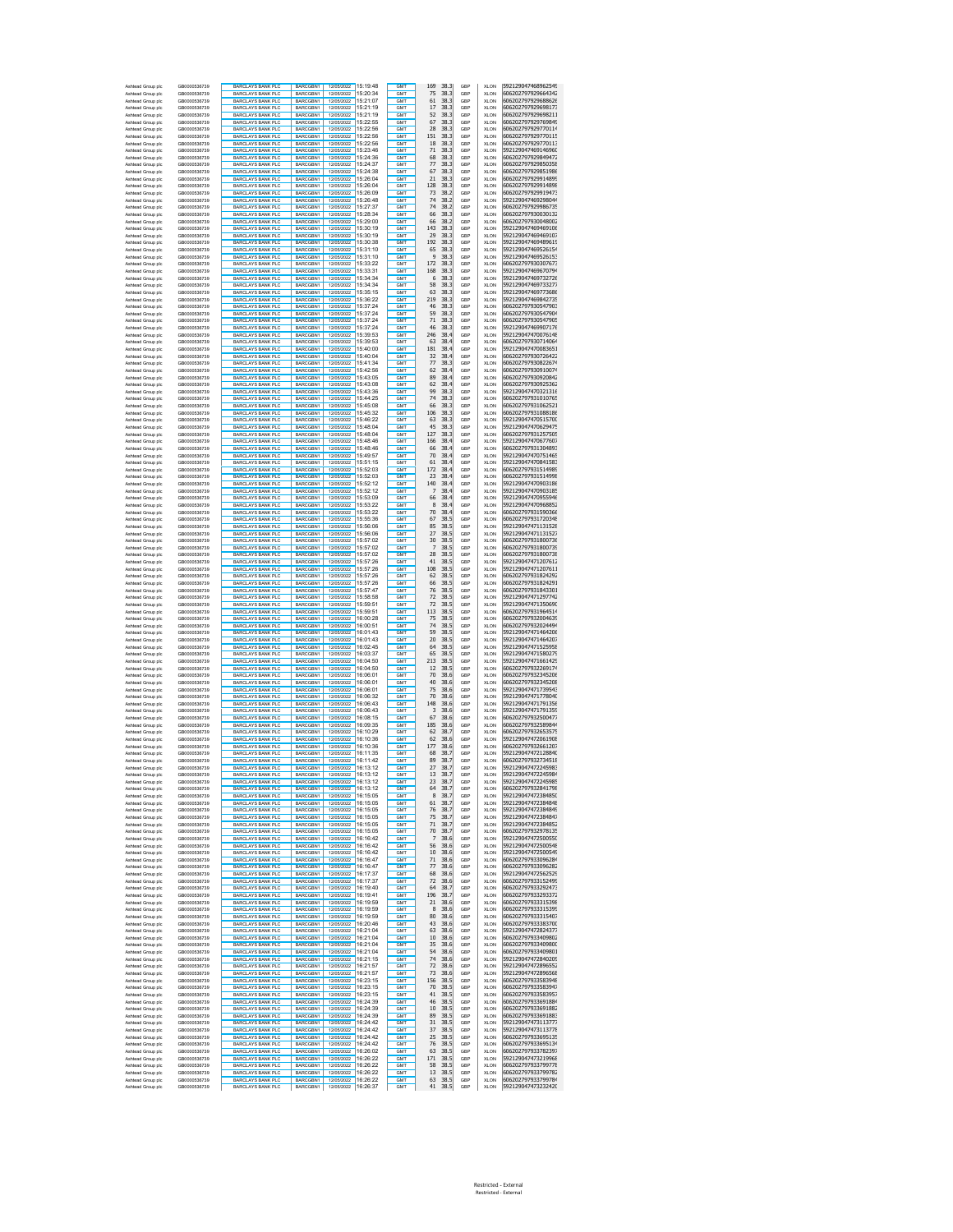| Ashtead Group plc<br>Ashtead Group plc | GB0000536739<br>GB0000536739 | <b>BARCLAYS BANK PLC</b><br><b>BARCLAYS BANK PLC</b> | BARCGBN1<br>BARCGBN1        | 12/05/2022 15:19:48<br>12/05/2022 15:20:34    | <b>GMT</b><br>GMT                  | 169<br>38.3<br>38.3<br>75    | GBP<br>GBP | <b>XLON</b><br><b>XLON</b> | 592129047468962549<br>606202797929664342 |
|----------------------------------------|------------------------------|------------------------------------------------------|-----------------------------|-----------------------------------------------|------------------------------------|------------------------------|------------|----------------------------|------------------------------------------|
| Ashtead Group plc                      | GB0000536739                 | <b>BARCLAYS BANK PLC</b>                             | BARCGBN1                    | 12/05/2022 15:21:07                           | <b>GMT</b>                         | 61<br>38.3                   | GBP        | XLON                       | 606202797929688626                       |
| Ashtead Group plc                      | GB0000536739                 | <b>BARCLAYS BANK PLC</b>                             | BARCGBN1                    | 12/05/2022 15:21:19                           | <b>GMT</b>                         | 38.3<br>17                   | GBP        | XLON                       | 606202797929698173                       |
| Ashtead Group plc<br>Ashtead Group plc | GB0000536739<br>GB0000536739 | BARCLAYS BANK PLO<br>BARCLAYS BANK PLC               | BARCGBN1<br><b>BARCGRN1</b> | 12/05/2022 15:21:19<br>12/05/2022 15:22:55    | GM <sub>1</sub><br>GMT             | 52<br>38.3<br>67<br>38.3     | GBP<br>GBP | <b>XLON</b><br><b>XLON</b> | 606202797929698211<br>606202797929769849 |
| Ashtead Group plc                      | GB0000536739                 | <b>BARCLAYS BANK PLO</b>                             | BARCGBN1                    | 12/05/2022 15:22:56                           | GM <sub>1</sub>                    | 28<br>38.3                   | GBP        | <b>XLON</b>                | 606202797929770114                       |
| Ashtead Group plc                      | GB0000536739                 | <b>BARCLAYS BANK PLC</b>                             | BARCGBN1                    | 12/05/2022 15:22:56                           | <b>GMT</b>                         | 151<br>38.3                  | GBP        | <b>XLON</b>                | 606202797929770115                       |
| Ashtead Group plc<br>Ashtead Group plc | GB0000536739<br>GB0000536739 | <b>BARCLAYS BANK PLC</b><br><b>BARCLAYS BANK PLC</b> | BARCGBN1<br>BARCGBN1        | 12/05/2022 15:23:46                           | GM <sub>1</sub><br>GM <sub>1</sub> | 18<br>38.3<br>71<br>38.3     | GBP<br>GBP | <b>XLON</b><br><b>XLON</b> | 606202797929770113<br>592129047469146960 |
| Ashtead Group plc                      | GB0000536739                 | <b>BARCLAYS BANK PLC</b>                             | BARCGBN1                    | 12/05/2022 15:24:36                           | GMT                                | 68<br>38.3                   | GBP        | <b>XLON</b>                | 606202797929849472                       |
| Ashtead Group plo                      | GB0000536739                 | <b>BARCLAYS BANK PLC</b>                             | BARCGBN1                    | 12/05/2022 15:24:37                           | GMT                                | 77<br>38.3                   | GBP        | <b>XLON</b>                | 606202797929850358                       |
| Ashtead Group plo<br>Ashtead Group plo | GB0000536739<br>GB0000536739 | <b>BARCLAYS BANK PLO</b><br><b>BARCLAYS BANK PLC</b> | BARCGBN1<br>BARCGBN1        | 12/05/2022 15:24:38<br>12/05/2022 15:26:04    | GMT<br>GMT                         | 67<br>38.3<br>21<br>38.3     | GBP<br>GBP | <b>XLON</b><br><b>XLON</b> | 606202797929851986<br>606202797929914899 |
| Ashtead Group plo                      | GB0000536739                 | <b>BARCLAYS BANK PLC</b>                             | BARCGBN1                    | 12/05/2022 15:26:04                           | <b>GMT</b>                         | 128<br>38.3                  | GBP        | <b>XLON</b>                | 606202797929914898                       |
| Ashtead Group plo                      | GB0000536739                 | <b>BARCLAYS BANK PLO</b>                             | BARCGBN1                    | 15:26:09<br>12/05/2022                        | <b>GMT</b>                         | 73<br>38.2                   | GBP        | <b>XLON</b>                | 606202797929919473                       |
| Ashtead Group plc<br>Ashtead Group plc | GB0000536739<br>GB0000536739 | <b>BARCLAYS BANK PLC</b><br><b>BARCLAYS BANK PLC</b> | BARCGBN1<br>BARCGBN1        | 12/05/2022 15:26:48<br>12/05/2022 15:27:37    | <b>GMT</b><br>GM <sub>1</sub>      | 74<br>38.2<br>74<br>38.2     | GBP<br>GBP | XLON<br>XLON               | 592129047469298044<br>606202797929986735 |
| Ashtead Group plc                      | GB0000536739                 | <b>BARCLAYS BANK PLC</b>                             | BARCGBN1                    | 12/05/2022 15:28:34                           | <b>GMT</b>                         | 66<br>38.3                   | GBP        | XLON                       | 606202797930030132                       |
| Ashtead Group plc                      | GB0000536739                 | <b>BARCLAYS BANK PLC</b>                             | BARCGBN1                    | 12/05/2022 15:29:00                           | <b>GMT</b>                         | 66<br>38.2                   | GBP        | <b>XLON</b>                | 606202797930048002                       |
| Ashtead Group plc<br>Ashtead Group plc | GB0000536739<br>GB0000536739 | <b>BARCLAYS BANK PLO</b><br><b>BARCLAYS BANK PLC</b> | BARCGBN1<br>BARCGBN1        | 12/05/2022 15:30:19<br>12/05/2022 15:30:19    | <b>GMT</b><br><b>GMT</b>           | 143<br>38.3<br>29<br>38.3    | GBP<br>GBP | XLON<br>XLON               | 592129047469469106<br>592129047469469107 |
| Ashtead Group plc                      | GB0000536739                 | <b>BARCLAYS BANK PLC</b>                             | BARCGBN1                    | 12/05/2022 15:30:38                           | <b>GMT</b>                         | 192<br>38.3                  | GBP        | XLON                       | 592129047469489619                       |
| Ashtead Group plo                      | GB0000536739                 | <b>BARCLAYS BANK PLO</b>                             | BARCGBN1                    | 12/05/2022 15:31:10                           | <b>GMT</b>                         | 38.3<br>65                   | GBP        | XLON                       | 592129047469526154                       |
| Ashtead Group plc<br>Ashtead Group plo | GB0000536739<br>GB0000536739 | <b>BARCLAYS BANK PLC</b><br><b>BARCLAYS BANK PLO</b> | BARCGBN1<br>BARCGBN1        | 12/05/2022 15:31:10<br>12/05/2022 15:33:22    | GM <sub>1</sub><br>GMT             | 9<br>38.3<br>172<br>38.3     | GBP<br>GBP | XLON<br>XLON               | 592129047469526153<br>606202797930307673 |
| Ashtead Group plc                      | GB0000536739                 | <b>BARCLAYS BANK PLC</b>                             | BARCGBN1                    | 12/05/2022 15:33:31                           | GMT                                | 38.3<br>168                  | GBP        | XLON                       | 592129047469670794                       |
| Ashtead Group plo                      | GB0000536739                 | <b>BARCLAYS BANK PLC</b>                             | BARCGBN1                    | 12/05/2022<br>15:34:34                        | GM <sub>1</sub>                    | 38.3<br>6                    | GBP        | XLON                       | 592129047469732726                       |
| Ashtead Group plc<br>Ashtead Group plc | GB0000536739<br>GB0000536739 | <b>BARCLAYS BANK PLC</b><br><b>BARCLAYS BANK PLC</b> | BARCGBN1<br>BARCGBN1        | 12/05/2022 15:34:34<br>12/05/2022 15:35:15    | GMT<br>GM <sub>1</sub>             | 38.3<br>58<br>63<br>38.3     | GBP<br>GBP | XLON<br><b>XLON</b>        | 592129047469733277<br>592129047469773686 |
| Ashtead Group plc                      | GB0000536739                 | BARCLAYS BANK PLC                                    | BARCGBN1                    | 12/05/2022 15:36:22                           | GMT                                | 219<br>38.3                  | GBP        | <b>XLON</b>                | 592129047469842735                       |
| Ashtead Group plc                      | GB0000536739                 | <b>BARCLAYS BANK PLO</b>                             | BARCGBN1                    | 12/05/2022 15:37:24                           | GM <sub>1</sub>                    | 46<br>38.3                   | GBP        | <b>XLON</b>                | 606202797930547903                       |
| Ashtead Group plc<br>Ashtead Group plc | GB0000536739<br>GB0000536739 | <b>BARCLAYS BANK PLC</b><br><b>BARCLAYS BANK PLC</b> | BARCGBN1<br>BARCGBN1        | 12/05/2022 15:37:24                           | <b>GMT</b><br>GM <sub>1</sub>      | 59<br>38.3<br>71<br>38.3     | GBP<br>GBP | <b>XLON</b><br><b>XLON</b> | 606202797930547904<br>606202797930547905 |
| Ashtead Group plc                      | GB0000536739                 | <b>BARCLAYS BANK PLC</b>                             | BARCGBN1                    | 12/05/2022 15:37:24                           | GM <sub>1</sub>                    | 46<br>38.3                   | GBP        | <b>XLON</b>                | 592129047469907176                       |
| Ashtead Group plc                      | GB0000536739                 | <b>BARCLAYS BANK PLC</b>                             | BARCGBN1                    | 12/05/2022 15:39:53                           | GMT                                | 246<br>38.4                  | GBP        | <b>XLON</b>                | 592129047470076148                       |
| Ashtead Group plc<br>Ashtead Group plo | GB0000536739<br>GB0000536739 | <b>BARCLAYS BANK PLC</b><br><b>BARCLAYS BANK PLO</b> | BARCGBN1<br>BARCGBN1        | 12/05/2022 15:39:53<br>12/05/2022 15:40:00    | GMT<br>GMT                         | 63<br>38.4<br>181<br>38.4    | GBP<br>GBP | <b>XLON</b><br><b>XLON</b> | 606202797930714064<br>592129047470083651 |
| Ashtead Group plo                      | GB0000536739                 | <b>BARCLAYS BANK PLC</b>                             | BARCGBN1                    | 12/05/2022 15:40:04                           | GMT                                | 32<br>38.4                   | GBP        | <b>XLON</b>                | 606202797930726422                       |
| Ashtead Group plo                      | GB0000536739                 | <b>BARCLAYS BANK PLC</b><br><b>BARCLAYS BANK PLO</b> | BARCGBN1<br>BARCGBN1        | 12/05/2022 15:41:34<br>15:42:56<br>12/05/2022 | <b>GMT</b><br><b>GMT</b>           | 77<br>38.3<br>62<br>38.4     | GBP<br>GBP | <b>XLON</b>                | 606202797930822674                       |
| Ashtead Group plo<br>Ashtead Group plc | GB0000536739<br>GB0000536739 | <b>BARCLAYS BANK PLC</b>                             | BARCGBN1                    | 12/05/2022 15:43:05                           | <b>GMT</b>                         | 89<br>38.4                   | GBP        | XLON<br><b>XLON</b>        | 606202797930910074<br>606202797930920842 |
| Ashtead Group plc                      | GB0000536739                 | <b>BARCLAYS BANK PLC</b>                             | BARCGBN1                    | 12/05/2022 15:43:08                           | GM <sub>1</sub>                    | 62<br>38.4                   | GBP        | <b>XLON</b>                | 606202797930925362                       |
| Ashtead Group plc<br>Ashtead Group plc | GB0000536739<br>GB0000536739 | <b>BARCLAYS BANK PLC</b><br>BARCLAYS BANK PLC        | BARCGBN1<br>BARCGBN1        | 12/05/2022 15:43:36<br>12/05/2022 15:44:25    | <b>GMT</b><br><b>GMT</b>           | 99<br>38.3<br>74<br>38.3     | GBP<br>GBP | <b>XLON</b><br><b>XLON</b> | 592129047470321316<br>606202797931010765 |
| Ashtead Group plc                      | GB0000536739                 | <b>BARCLAYS BANK PLO</b>                             | BARCGBN1                    | 12/05/2022 15:45:08                           | <b>GMT</b>                         | 66<br>38.3                   | GBP        | <b>XLON</b>                | 606202797931062521                       |
| Ashtead Group plc                      | GB0000536739                 | <b>BARCLAYS BANK PLC</b>                             | BARCGBN1                    | 12/05/2022 15:45:32                           | <b>GMT</b>                         | 106<br>38.3                  | GBP        | <b>XLON</b>                | 606202797931088186                       |
| Ashtead Group plc<br>Ashtead Group plo | GB0000536739                 | BARCLAYS BANK PLC                                    | BARCGBN1                    | 12/05/2022 15:46:22<br>12/05/2022 15:48:04    | <b>GMT</b><br><b>GMT</b>           | 38.3<br>63<br>38.3<br>45     | GBP<br>GBP | XLON<br>XLON               | 592129047470515700<br>592129047470629475 |
| Ashtead Group plc                      | GB0000536739<br>GB0000536739 | <b>BARCLAYS BANK PLC</b><br><b>BARCLAYS BANK PLC</b> | BARCGBN1<br>BARCGBN1        | 12/05/2022 15:48:04                           | GM <sub>1</sub>                    | 38.3<br>127                  | GBP        | XLON                       | 606202797931257505                       |
| Ashtead Group plo                      | GB0000536739                 | <b>BARCLAYS BANK PLO</b>                             | BARCGBN1                    | 12/05/2022 15:48:46                           | GMT                                | 166<br>38.4                  | GBP        | XLON                       | 592129047470677607                       |
| Ashtead Group plc<br>Ashtead Group plo | GB0000536739                 | <b>BARCLAYS BANK PLC</b><br><b>BARCLAYS BANK PLC</b> | BARCGBN1<br>BARCGBN1        | 12/05/2022 15:48:46<br>12/05/2022<br>15:49:57 | GMT<br>GM <sub>1</sub>             | 38.4<br>66<br>70<br>38.4     | GBP<br>GBP | XLON<br>XLON               | 606202797931304893<br>592129047470751465 |
| Ashtead Group plc                      | GB0000536739<br>GB0000536739 | <b>BARCLAYS BANK PLC</b>                             | BARCGBN1                    | 12/05/2022 15:51:15                           | GMT                                | 38.4<br>61                   | GBP        | XLON                       | 592129047470841583                       |
| Ashtead Group plc                      | GB0000536739                 | <b>BARCLAYS BANK PLC</b>                             | BARCGBN1                    | 12/05/2022 15:52:03                           | GM <sub>1</sub>                    | 172<br>38.4                  | GBP        | <b>XLON</b>                | 606202797931514989                       |
| Ashtead Group plc<br>Ashtead Group plc | GB0000536739<br>GB0000536739 | BARCLAYS BANK PLC<br><b>BARCLAYS BANK PLO</b>        | BARCGBN1<br>BARCGBN1        | 12/05/2022 15:52:03<br>12/05/2022 15:52:12    | GMT<br>GM <sub>1</sub>             | 23<br>38.4<br>140<br>38.4    | GBP<br>GBP | <b>XLON</b><br><b>XLON</b> | 606202797931514998<br>592129047470903186 |
| Ashtead Group plc                      | GB0000536739                 | BARCLAYS BANK PLC                                    | BARCGBN1                    |                                               | GMT                                | 7<br>38.4                    | GBP        | <b>XLON</b>                | 592129047470903185                       |
| Ashtead Group plc                      | GB0000536739                 | <b>BARCLAYS BANK PLC</b>                             | BARCGBN1                    | 12/05/2022 15:52:12<br>12/05/2022 15:53:09    | GM <sub>1</sub>                    | 66<br>38.4                   | GBP        | <b>XLON</b>                | 592129047470955946                       |
| Ashtead Group plc<br>Ashtead Group plc | GR0000536739<br>GB0000536739 | <b>BARCLAYS BANK PLC</b>                             | BARCGBN1                    | 12/05/2022 15:53:22                           | GM <sub>1</sub><br>GMT             | 8<br>38.4<br>38.4            | GBP<br>GBP | <b>XLON</b><br><b>XLON</b> | 592129047470968852<br>606202797931590366 |
| Ashtead Group plo                      | GB0000536739                 | <b>BARCLAYS BANK PLC</b><br><b>BARCLAYS BANK PLC</b> | BARCGBN1<br>BARCGBN1        | 12/05/2022 15:53:22<br>12/05/2022 15:55:36    | GMT                                | 70<br>67<br>38.5             | GBP        | XLON                       | 606202797931720348                       |
| Ashtead Group plo                      | GB0000536739                 | <b>BARCLAYS BANK PLO</b>                             | BARCGBN1                    | 12/05/2022 15:56:06                           | GMT                                | 85<br>38.5                   | GBP        | <b>XLON</b>                | 592129047471131528                       |
| Ashtead Group plo                      | GB0000536739                 | <b>BARCLAYS BANK PLC</b>                             | BARCGBN1<br>BARCGBN1        | 12/05/2022 15:56:06                           | GMT<br><b>GMT</b>                  | 27<br>38.5<br>38.5           | GBP        | <b>XLON</b>                | 592129047471131527                       |
| Ashtead Group plo<br>Ashtead Group plo | GB0000536739<br>GB0000536739 | <b>BARCLAYS BANK PLC</b><br><b>BARCLAYS BANK PLO</b> | BARCGBN1                    | 12/05/2022 15:57:02<br>15:57:02<br>12/05/2022 | <b>GMT</b>                         | 30<br>7<br>38.5              | GBP<br>GBP | <b>XLON</b><br><b>XLON</b> | 606202797931800736<br>606202797931800739 |
| Ashtead Group plc                      | GB0000536739                 | <b>BARCLAYS BANK PLC</b>                             | BARCGBN1                    | 12/05/2022 15:57:02                           | <b>GMT</b>                         | 28<br>38.5                   | GBP        | <b>XLON</b>                | 606202797931800738                       |
| Ashtead Group plc<br>Ashtead Group plc | GB0000536739<br>GB0000536739 | <b>BARCLAYS BANK PLC</b><br><b>BARCLAYS BANK PLC</b> | BARCGBN1<br>BARCGBN1        | 12/05/2022 15:57:26<br>12/05/2022 15:57:26    | GM <sub>1</sub><br><b>GMT</b>      | 41<br>38.5<br>108<br>38.5    | GBP<br>GBP | <b>XLON</b><br><b>XLON</b> | 592129047471207612<br>592129047471207611 |
| Ashtead Group plc                      | GB0000536739                 | <b>BARCLAYS BANK PLC</b>                             | BARCGBN1                    | 12/05/2022 15:57:26                           | <b>GMT</b>                         | 62<br>38.5                   | GBP        | <b>XLON</b>                | 606202797931824292                       |
| Ashtead Group plc                      | GB0000536739                 | <b>BARCLAYS BANK PLC</b>                             | BARCGBN1                    | 12/05/2022 15:57:26                           | <b>GMT</b>                         | 66<br>38.5                   | GBP        | <b>XLON</b>                | 606202797931824291                       |
| Ashtead Group plc<br>Ashtead Group plc | GB0000536739<br>GB0000536739 | <b>BARCLAYS BANK PLC</b><br><b>BARCLAYS BANK PLC</b> | BARCGBN1<br>BARCGBN1        | 12/05/2022 15:57:47<br>12/05/2022 15:58:58    | <b>GMT</b><br>GM <sub>1</sub>      | 76<br>38.5<br>72<br>38.5     | GBP<br>GBP | <b>XLON</b><br>XLON        | 606202797931843301<br>592129047471297742 |
| Ashtead Group plo                      | GB0000536739                 | <b>BARCLAYS BANK PLO</b>                             | BARCGBN1                    | 12/05/2022 15:59:51                           | <b>GMT</b>                         | 72<br>38.5                   | GBP        | XLON                       | 592129047471350690                       |
| Ashtead Group plc                      | GB0000536739                 | <b>BARCLAYS BANK PLC</b>                             | BARCGBN1                    | 12/05/2022 15:59:51                           | GM <sub>1</sub>                    | 113<br>38.5                  | GBP        | XLON                       | 606202797931964514                       |
| Ashtead Group plo<br>Ashtead Group plc | GB0000536739<br>GB0000536739 | <b>BARCLAYS BANK PLO</b><br><b>BARCLAYS BANK PLC</b> | BARCGBN1<br>BARCGBN1        | 12/05/2022 16:00:28<br>12/05/2022 16:00:51    | GMT<br>GMT                         | 38.5<br>75<br>74<br>38.5     | GBP<br>GBP | XLON<br>XLON               | 606202797932004639<br>606202797932024494 |
| Ashtead Group plo                      | GB0000536739                 | <b>BARCLAYS BANK PLC</b>                             | BARCGBN1                    | 12/05/2022<br>16:01:43                        | GM <sub>1</sub>                    | 59<br>38.5                   | GBP        | XLON                       | 592129047471464206                       |
| Ashtead Group plc                      | GB0000536739                 | <b>BARCLAYS BANK PLC</b>                             | BARCGBN1                    | 12/05/2022 16:01:43                           | GMT                                | 20<br>38.5                   | GBP        | XLON                       | 592129047471464207                       |
| Ashtead Group plc<br>Ashtead Group plc | GB0000536739<br>GB0000536739 | <b>BARCLAYS BANK PLC</b><br><b>BARCLAYS BANK PLC</b> | BARCGBN1<br>BARCGBN1        | 12/05/2022 16:02:45<br>12/05/2022 16:03:37    | GM <sub>1</sub><br>GMT             | 38.5<br>64<br>38.5<br>65     | GBP<br>GBP | <b>XLON</b><br><b>XLON</b> | 592129047471525958<br>592129047471580279 |
| Ashtead Group plc                      | GB0000536739                 | <b>BARCLAYS BANK PLO</b>                             | BARCGBN1                    | 12/05/2022 16:04:50                           | GM <sub>1</sub>                    | 213<br>38.5                  | GBP        | <b>XLON</b>                | 592129047471661429                       |
| Ashtead Group plc<br>Ashtead Group plc | GB0000536739<br>GB0000536739 | <b>BARCLAYS BANK PLC</b><br><b>BARCLAYS BANK PLC</b> | BARCGBN1<br><b>BARCGRN1</b> | 12/05/2022 16:04:50<br>12/05/2022 16:06:01    | GMT<br>GM <sub>1</sub>             | 38.5<br>12<br>70<br>38.6     | GBP<br>GBP | <b>XLON</b><br><b>XLON</b> | 606202797932269174<br>606202797932345206 |
| Ashtead Group plc                      | GB0000536739                 | <b>BARCLAYS BANK PLC</b>                             | <b>BARCGRN1</b>             | 12/05/2022 16:06:01                           | <b>GMT</b>                         | 40<br>38.6                   | GBP        | <b>XLON</b>                | 606202797932345208                       |
| Ashtead Group plc                      | GB0000536739                 | <b>BARCLAYS BANK PLC</b>                             | BARCGBN1                    | 12/05/2022 16:06:01                           | GMT                                | 75<br>38.6                   | GBP        | <b>XLON</b>                | 592129047471739543                       |
| Ashtead Group plo<br>Ashtead Group plo | GB0000536739<br>GB0000536739 | <b>BARCLAYS BANK PLC</b><br><b>BARCLAYS BANK PLC</b> | BARCGBN1<br>BARCGBN1        | 12/05/2022 16:06:32<br>12/05/2022 16:06:43    | GMT<br>GMT                         | 70<br>38.6<br>148<br>38.6    | GBP<br>GBP | XLON<br>XLON               | 592129047471778040<br>592129047471791356 |
| Ashtead Group plo                      | GB0000536739                 | <b>BARCLAYS BANK PLC</b>                             | BARCGBN1                    | 12/05/2022 16:06:43                           | GMT                                | 3<br>38.6                    | GBP        | XLON                       | 592129047471791359                       |
| Ashtead Group plo                      | GB0000536739                 | <b>BARCLAYS BANK PLC</b>                             | BARCGBN1                    | 16:08:15<br>12/05/2022                        | <b>GMT</b>                         | 67<br>38.6                   | GBP        | XLON                       | 606202797932500477                       |
| Ashtead Group plo<br>Ashtead Group plc | GB0000536739<br>GB0000536739 | <b>BARCLAYS BANK PLO</b><br><b>BARCLAYS BANK PLC</b> | BARCGBN1<br>BARCGBN1        | 12/05/2022<br>16:09:35<br>12/05/2022 16:10:29 | <b>GMT</b><br><b>GMT</b>           | 185<br>38.6<br>62<br>38.7    | GBP<br>GBP | XLON<br>XLON               | 606202797932589844<br>606202797932653575 |
| Ashtead Group plc                      | GB0000536739                 | <b>BARCLAYS BANK PLC</b>                             | BARCGBN1                    | 12/05/2022 16:10:36                           | GM <sub>1</sub>                    | 62<br>38.6                   | GBP        | <b>XLON</b>                | 592129047472061908                       |
| Ashtead Group plc<br>Ashtead Group plc | GB0000536739                 | <b>BARCLAYS BANK PLC</b><br>BARCLAYS BANK PLC        | BARCGBN1<br>BARCGBN1        | 12/05/2022 16:10:36<br>12/05/2022 16:11:35    | <b>GMT</b><br><b>GMT</b>           | 177<br>38.6<br>68<br>38.7    | GBP<br>GBP | XLON<br><b>XLON</b>        | 606202797932661207<br>592129047472128840 |
| Ashtead Group plc                      | GB0000536739<br>GB0000536739 | <b>BARCLAYS BANK PLO</b>                             | BARCGBN1                    | 12/05/2022 16:11:42                           | <b>GMT</b>                         | 89<br>38.7                   | GBP        | <b>XLON</b>                | 606202797932734518                       |
| Ashtead Group plc                      | GB0000536739                 | <b>BARCLAYS BANK PLC</b>                             | BARCGBN1                    | 12/05/2022 16:13:12                           | <b>GMT</b>                         | 27<br>38.7                   | GBP        | <b>XLON</b>                | 592129047472245983                       |
| Ashtead Group plc<br>Ashtead Group plc | GB0000536739<br>GB0000536739 | BARCLAYS BANK PLC<br><b>BARCLAYS BANK PLC</b>        | BARCGBN1<br>BARCGBN1        | 12/05/2022<br>16:13:12<br>12/05/2022 16:13:12 | GM1<br>GM <sub>1</sub>             | 13<br>38.,<br>23<br>38.7     | GBF<br>GBP | XLON<br><b>XLON</b>        | 9212904/4/2245984<br>592129047472245985  |
| Ashtead Group plc                      | GB0000536739                 | <b>BARCLAYS BANK PLC</b>                             | BARCGBN1                    | 12/05/2022 16:13:12                           | <b>GMT</b>                         | 64<br>38.7                   | GBP        | <b>XLON</b>                | 606202797932841798                       |
| Ashtead Group plc                      | GB0000536739                 | <b>BARCLAYS BANK PLC</b>                             | BARCGBN1                    | 12/05/2022 16:15:05                           | <b>GMT</b><br><b>GMT</b>           | 8<br>38.7                    | GBP        | XLON                       | 592129047472384850                       |
| Ashtead Group plc<br>Ashtead Group plc | GB0000536739<br>GB0000536739 | <b>BARCLAYS BANK PLC</b><br><b>BARCLAYS BANK PLC</b> | BARCGBN1<br>BARCGBN1        | 12/05/2022 16:15:05<br>12/05/2022<br>16:15:05 | <b>GMT</b>                         | 38.7<br>61<br>38.7<br>76     | GBP<br>GBP | XLON<br>XLON               | 592129047472384848<br>592129047472384849 |
| Ashtead Group plc                      | GB0000536739                 | <b>BARCLAYS BANK PLC</b>                             | BARCGBN1                    | 12/05/2022 16:15:05                           | GMT                                | 38.7<br>75                   | GBP        | XLON                       | 592129047472384847                       |
| Ashtead Group plc<br>Ashtead Group plc | GR0000536739<br>GB0000536739 | <b>BARCLAYS BANK PLC</b><br>BARCLAYS BANK PLC        | BARCGBN1<br>BARCGBN1        | 12/05/2022 16:15:05<br>12/05/2022 16:15:05    | GM <sub>1</sub><br><b>GMT</b>      | 38.7<br>71<br>70<br>38.7     | GBP<br>GBP | <b>XLON</b><br><b>XLON</b> | 592129047472384852<br>606202797932978135 |
| Ashtead Group plc                      | GB0000536739                 | <b>BARCLAYS BANK PLO</b>                             | BARCGBN1                    | 12/05/2022 16:16:42                           | <b>GMT</b>                         | 38.6<br>7                    | GBP        | <b>XLON</b>                | 592129047472500550                       |
| Ashtead Group plc                      | GB0000536739                 | BARCLAYS BANK PLC<br><b>BARCLAYS BANK PLC</b>        | BARCGBN1                    | 12/05/2022 16:16:42                           | <b>GMT</b>                         | 38.6<br>56                   | GBP        | <b>XLON</b>                | 592129047472500548<br>592129047472500549 |
| Ashtead Group plc<br>Ashtead Group plc | GB0000536739<br>GB0000536739 | <b>BARCLAYS BANK PLC</b>                             | BARCGBN1<br>BARCGBN1        | 12/05/2022 16:16:47                           | <b>GMT</b><br><b>GMT</b>           | 38.6<br>10<br>38.6<br>71     | GBP<br>GBP | <b>XLON</b><br><b>XLON</b> | 606202797933096284                       |
| Ashtead Group plc                      | GB0000536739                 | <b>BARCLAYS BANK PLC</b>                             | BARCGBN1                    | 12/05/2022 16:16:47                           | GMT                                | 77<br>38.6                   | GBP        | XLON                       | 606202797933096282                       |
| Ashtead Group plc                      | GB0000536739                 | <b>BARCLAYS BANK PLC</b>                             | BARCGBN1                    | 12/05/2022 16:17:37                           | GMT                                | 68<br>38.6                   | GBP        | XLON                       | 592129047472562529                       |
| Ashtead Group plc<br>Ashtead Group plc | GB0000536739<br>GB0000536739 | <b>BARCLAYS BANK PLC</b><br><b>BARCLAYS BANK PLC</b> | BARCGBN1<br>BARCGBN1        | 12/05/2022 16:17:37<br>12/05/2022 16:19:40    | GMT<br><b>GMT</b>                  | 72<br>38.6<br>64<br>38.7     | GBP<br>GBP | XLON<br>XLON               | 606202797933152499<br>606202797933292473 |
| Ashtead Group plc                      | GB0000536739                 | <b>BARCLAYS BANK PLC</b>                             | BARCGBN1                    | 12/05/2022<br>16:19:41                        | <b>GMT</b>                         | 196<br>38.7                  | GBP        | <b>XLON</b>                | 606202797933293372                       |
| Ashtead Group plc<br>Ashtead Group plc | GB0000536739<br>GB0000536739 | BARCLAYS BANK PLO<br>BARCLAYS BANK PLC               | RARCGBN1<br>BARCGBN1        | 16:19:59<br>12/05/2022<br>12/05/2022 16:19:59 | GMT<br><b>GMT</b>                  | 21<br>38.6<br>38.6<br>8      | GBP<br>GBP | <b>XLON</b><br><b>XLON</b> | 606202797933315398<br>606202797933315399 |
| Ashtead Group plc                      | GB0000536739                 | BARCLAYS BANK PLC                                    | BARCGBN1                    | 12/05/2022 16:19:59                           | <b>GMT</b>                         | 80<br>38.6                   | GBP        | <b>XLON</b>                | 606202797933315407                       |
| Ashtead Group plc                      | GB0000536739                 | BARCLAYS BANK PLC                                    | BARCGBN1                    | 12/05/2022 16:20:46                           | <b>GMT</b>                         | 43<br>38.6                   | GBP        | <b>XLON</b>                | 606202797933383700                       |
| Ashtead Group plc<br>Ashtead Group plc | GB0000536739<br>GB0000536739 | <b>BARCLAYS BANK PLC</b><br><b>BARCLAYS BANK PLO</b> | BARCGBN1<br>BARCGBN1        | 12/05/2022 16:21:04<br>12/05/2022 16:21:04    | <b>GMT</b><br><b>GMT</b>           | 63<br>38.6<br>$10\,$<br>38.6 | GBP<br>GBP | <b>XLON</b><br><b>XLON</b> | 592129047472824377<br>606202797933409802 |
| Ashtead Group plc                      | GB0000536739                 | <b>BARCLAYS BANK PLC</b>                             | BARCGBN1                    | 12/05/2022 16:21:04                           | <b>GMT</b>                         | 35<br>38.6                   | GBP        | <b>XLON</b>                | 606202797933409800                       |
| Ashtead Group plc                      | GB0000536739                 | <b>BARCLAYS BANK PLC</b>                             | BARCGBN1                    | 12/05/2022 16:21:04                           | GMT                                | 54<br>38.6                   | GBP        | <b>XLON</b>                | 606202797933409801                       |
| Ashtead Group plc<br>Ashtead Group plc | GB0000536739<br>GB0000536739 | <b>BARCLAYS BANK PLC</b><br>BARCLAYS BANK PLC        | BARCGBN1<br>BARCGBN1        | 12/05/2022 16:21:15<br>12/05/2022 16:21:57    | <b>GMT</b><br>GMT                  | 74<br>38.6<br>72<br>38.6     | GBP<br>GBP | <b>XLON</b><br><b>XLON</b> | 592129047472840209<br>592129047472896552 |
| Ashtead Group plc                      | GB0000536739                 | <b>BARCLAYS BANK PLC</b>                             | BARCGBN1                    | 12/05/2022 16:21:57                           | <b>GMT</b>                         | 73<br>38.6                   | GBP        | <b>XLON</b>                | 592129047472896568                       |
| Ashtead Group plc                      | GB0000536739                 | <b>BARCLAYS BANK PLC</b>                             | BARCGBN1                    | 12/05/2022 16:23:15                           | GMT<br><b>GMT</b>                  | 38.5<br>156                  | GBP        | <b>XLON</b>                | 606202797933583948                       |
| Ashtead Group plc<br>Ashtead Group plc | GB0000536739<br>GB0000536739 | <b>BARCLAYS BANK PLC</b><br><b>BARCLAYS BANK PLC</b> | BARCGBN1<br>BARCGBN1        | 12/05/2022<br>16:23:15<br>12/05/2022 16:23:15 | GMT                                | 70<br>38.5<br>41<br>38.5     | GBP<br>GBP | XLON<br><b>XLON</b>        | 606202797933583947<br>606202797933583957 |
| Ashtead Group plc                      | GB0000536739                 | <b>BARCLAYS BANK PLC</b>                             | BARCGBN1                    | 12/05/2022 16:24:39                           | GM <sub>1</sub>                    | 38.5<br>46                   | GBP        | <b>XLON</b>                | 606202797933691884                       |
| Ashtead Group plc<br>Ashtead Group plc | GB0000536739<br>GB0000536739 | <b>BARCLAYS BANK PLC</b><br><b>BARCLAYS BANK PLO</b> | BARCGBN1<br>BARCGBN1        | 12/05/2022 16:24:39<br>12/05/2022 16:24:39    | <b>GMT</b><br>GMT                  | 10<br>38.5<br>89<br>38.5     | GBP<br>GBP | <b>XLON</b><br><b>XLON</b> | 606202797933691882<br>606202797933691883 |
| Ashtead Group plc                      | GB0000536739                 | <b>BARCLAYS BANK PLC</b>                             | BARCGBN1                    | 12/05/2022 16:24:42                           | GMT                                | 38.5<br>31                   | GBP        | <b>XLON</b>                | 592129047473113777                       |
| Ashtead Group plc                      | GB0000536739                 | <b>BARCLAYS BANK PLC</b>                             | BARCGBN1                    | 12/05/2022 16:24:42                           | <b>GMT</b>                         | 37<br>38.5                   | GBP        | <b>XLON</b>                | 592129047473113778                       |
| Ashtead Group plc<br>Ashtead Group plc | GB0000536739<br>GB0000536739 | <b>BARCLAYS BANK PLC</b><br><b>BARCLAYS BANK PLC</b> | BARCGBN1<br>BARCGBN1        | 12/05/2022 16:24:42<br>12/05/2022 16:24:42    | <b>GMT</b><br>GMT                  | 25<br>38.5<br>76<br>38.5     | GBP<br>GBP | <b>XLON</b><br><b>XLON</b> | 606202797933695135<br>606202797933695134 |
| Ashtead Group plc                      | GB0000536739                 | <b>BARCLAYS BANK PLC</b>                             | BARCGBN1                    | 12/05/2022 16:26:02                           | GMT                                | 63<br>38.5                   | GBP        | <b>XLON</b>                | 606202797933782397                       |
| Ashtead Group plc                      | GB0000536739                 | <b>BARCLAYS BANK PLC</b>                             | BARCGBN1                    | 12/05/2022 16:26:22                           | GMT<br><b>GMT</b>                  | 171<br>38.5                  | GBP        | <b>XLON</b>                | 592129047473219968                       |
| Ashtead Group plc<br>Ashtead Group plc | GB0000536739<br>GB0000536739 | <b>BARCLAYS BANK PLC</b><br><b>BARCLAYS BANK PLC</b> | BARCGBN1<br>BARCGBN1        | 12/05/2022 16:26:22<br>12/05/2022 16:26:22    | <b>GMT</b>                         | 58<br>38.5<br>13<br>38.5     | GBP<br>GBP | <b>XLON</b><br><b>XLON</b> | 606202797933799778<br>606202797933799782 |
| Ashtead Group plc                      | GB0000536739                 | <b>BARCLAYS BANK PLO</b>                             | BARCGBN1                    | 16:26:22<br>12/05/2022                        | <b>GMT</b>                         | 63<br>38.5                   | GBP        | <b>XLON</b>                | 606202797933799784                       |
| Ashtead Group plo                      | GB0000536739                 | <b>BARCLAYS BANK PLC</b>                             | BARCGBN1                    | 12/05/2022 16:26:37                           | <b>GMT</b>                         | 41<br>38.5                   | GBP        | <b>XLON</b>                | 592129047473232420                       |